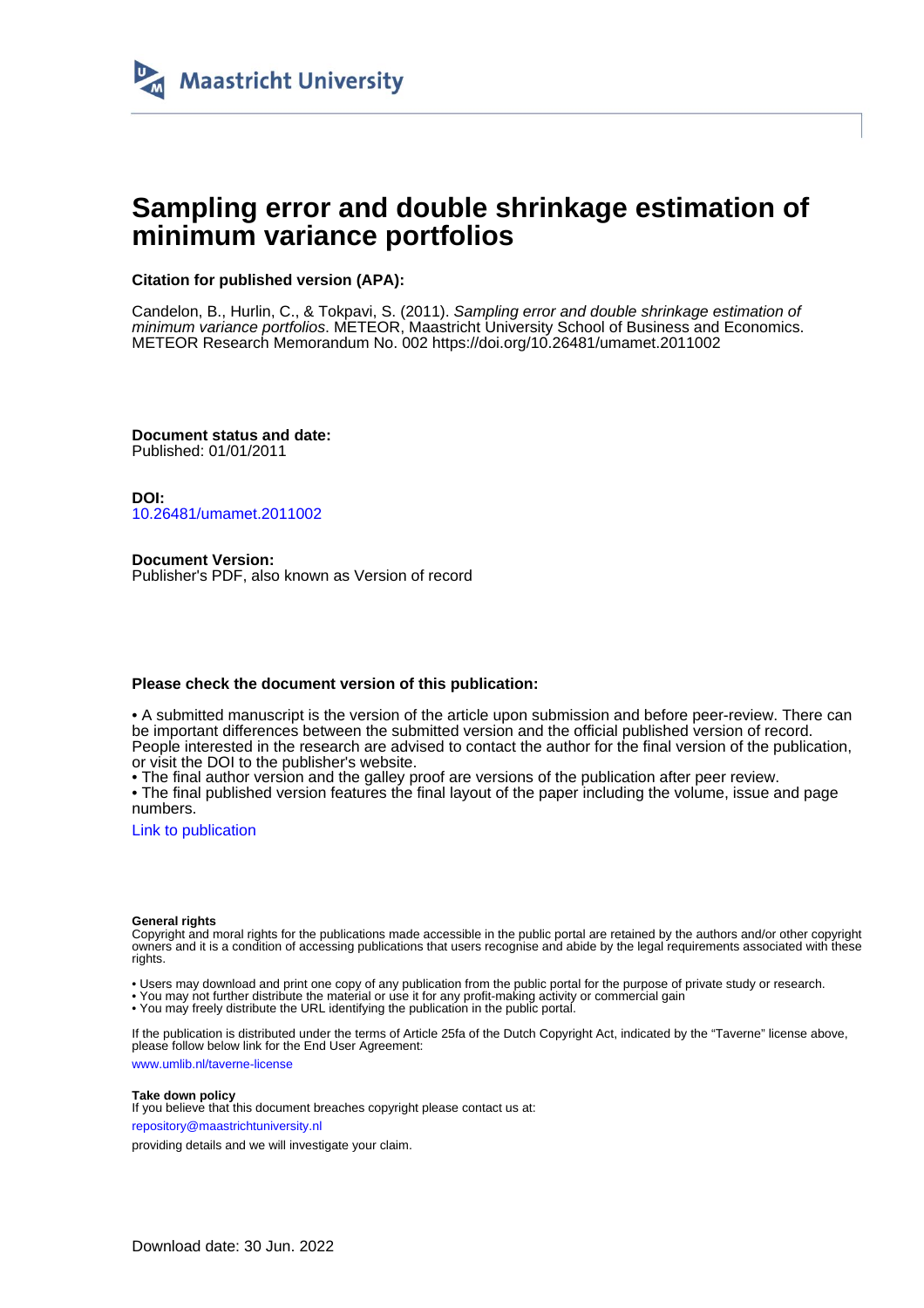

# **Sampling error and double shrinkage estimation of minimum variance portfolios**

#### **Citation for published version (APA):**

Candelon, B., Hurlin, C., & Tokpavi, S. (2011). Sampling error and double shrinkage estimation of minimum variance portfolios. METEOR, Maastricht University School of Business and Economics. METEOR Research Memorandum No. 002<https://doi.org/10.26481/umamet.2011002>

**Document status and date:** Published: 01/01/2011

**DOI:** [10.26481/umamet.2011002](https://doi.org/10.26481/umamet.2011002)

**Document Version:** Publisher's PDF, also known as Version of record

#### **Please check the document version of this publication:**

• A submitted manuscript is the version of the article upon submission and before peer-review. There can be important differences between the submitted version and the official published version of record. People interested in the research are advised to contact the author for the final version of the publication, or visit the DOI to the publisher's website.

• The final author version and the galley proof are versions of the publication after peer review.

• The final published version features the final layout of the paper including the volume, issue and page numbers.

[Link to publication](https://cris.maastrichtuniversity.nl/en/publications/929b01a8-8919-4fd4-8e43-52c2c5736324)

#### **General rights**

Copyright and moral rights for the publications made accessible in the public portal are retained by the authors and/or other copyright owners and it is a condition of accessing publications that users recognise and abide by the legal requirements associated with these rights.

• Users may download and print one copy of any publication from the public portal for the purpose of private study or research.

• You may not further distribute the material or use it for any profit-making activity or commercial gain

• You may freely distribute the URL identifying the publication in the public portal.

If the publication is distributed under the terms of Article 25fa of the Dutch Copyright Act, indicated by the "Taverne" license above, please follow below link for the End User Agreement:

www.umlib.nl/taverne-license

#### **Take down policy**

If you believe that this document breaches copyright please contact us at: repository@maastrichtuniversity.nl

providing details and we will investigate your claim.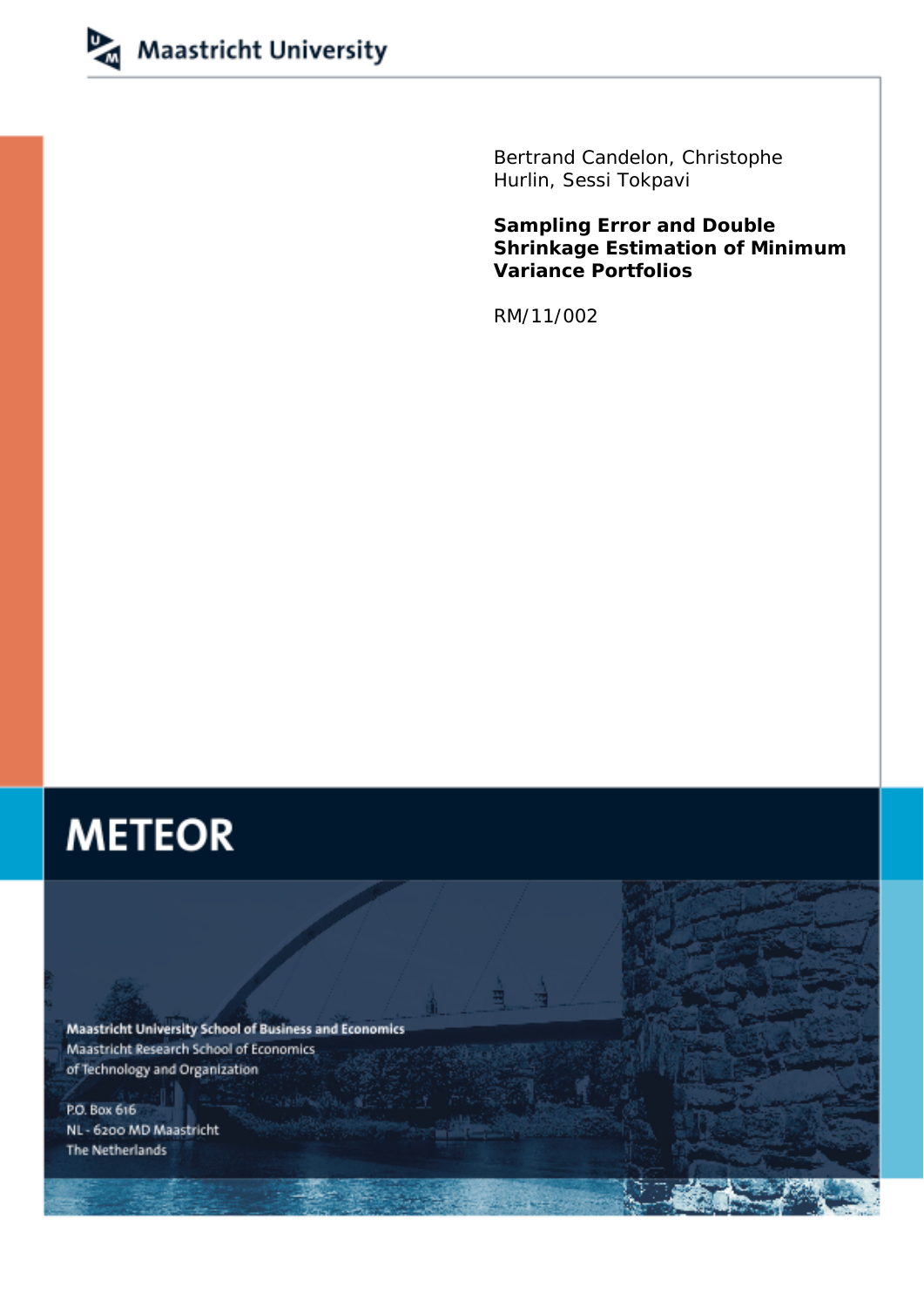

Bertrand Candelon, Christophe Hurlin, Sessi Tokpavi

**Sampling Error and Double Shrinkage Estimation of Minimum Variance Portfolios** 

RM/11/002

# **METEOR**

Maastricht University School of Business and Economics Maastricht Research School of Economics of Technology and Organization

P.O. Box 616 NL - 6200 MD Maastricht The Netherlands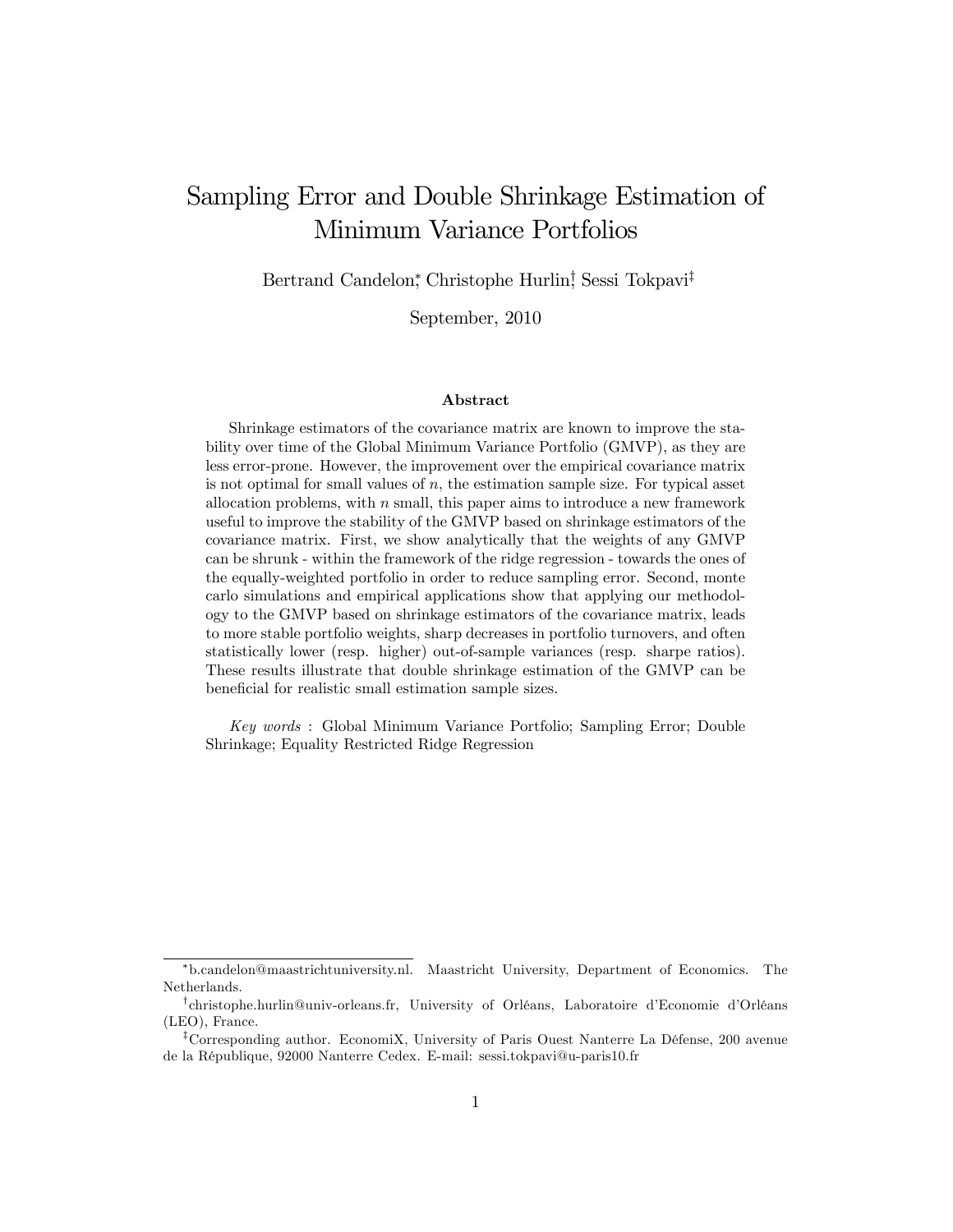# Sampling Error and Double Shrinkage Estimation of Minimum Variance Portfolios

Bertrand Candelon,\* Christophe Hurlin! Sessi Tokpavi<sup>‡</sup>

September, 2010

#### Abstract

Shrinkage estimators of the covariance matrix are known to improve the stability over time of the Global Minimum Variance Portfolio (GMVP), as they are less error-prone. However, the improvement over the empirical covariance matrix is not optimal for small values of  $n$ , the estimation sample size. For typical asset allocation problems, with  $n$  small, this paper aims to introduce a new framework useful to improve the stability of the GMVP based on shrinkage estimators of the covariance matrix. First, we show analytically that the weights of any GMVP can be shrunk - within the framework of the ridge regression - towards the ones of the equally-weighted portfolio in order to reduce sampling error. Second, monte carlo simulations and empirical applications show that applying our methodology to the GMVP based on shrinkage estimators of the covariance matrix, leads to more stable portfolio weights, sharp decreases in portfolio turnovers, and often statistically lower (resp. higher) out-of-sample variances (resp. sharpe ratios). These results illustrate that double shrinkage estimation of the GMVP can be beneficial for realistic small estimation sample sizes.

Key words : Global Minimum Variance Portfolio; Sampling Error; Double Shrinkage; Equality Restricted Ridge Regression

b.candelon@maastrichtuniversity.nl. Maastricht University, Department of Economics. The Netherlands.

<sup>&</sup>lt;sup>†</sup>christophe.hurlin@univ-orleans.fr, University of Orléans, Laboratoire d'Economie d'Orléans (LEO), France.

<sup>&</sup>lt;sup>‡</sup>Corresponding author. EconomiX, University of Paris Ouest Nanterre La Défense, 200 avenue de la RÈpublique, 92000 Nanterre Cedex. E-mail: sessi.tokpavi@u-paris10.fr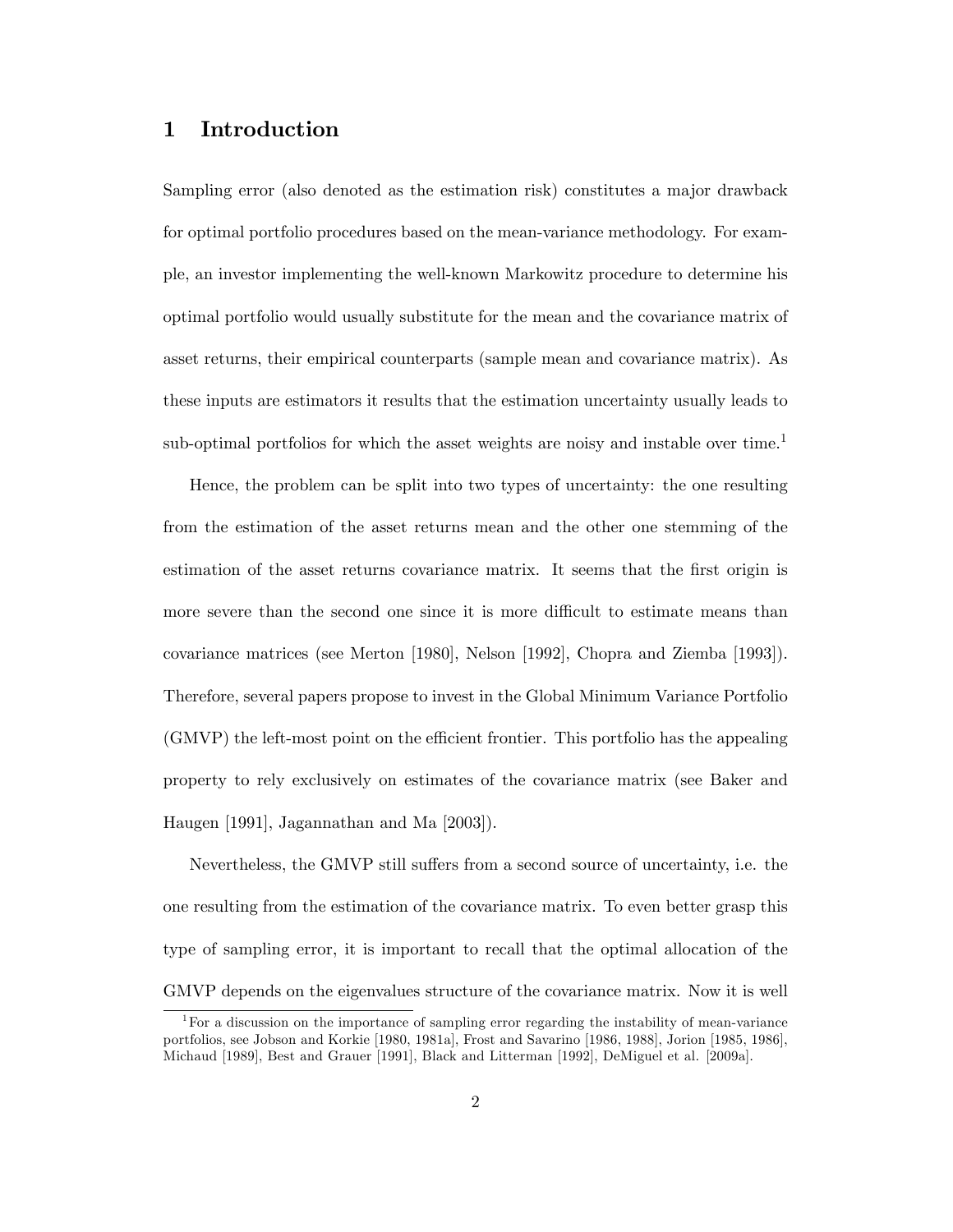## 1 Introduction

Sampling error (also denoted as the estimation risk) constitutes a major drawback for optimal portfolio procedures based on the mean-variance methodology. For example, an investor implementing the well-known Markowitz procedure to determine his optimal portfolio would usually substitute for the mean and the covariance matrix of asset returns, their empirical counterparts (sample mean and covariance matrix). As these inputs are estimators it results that the estimation uncertainty usually leads to sub-optimal portfolios for which the asset weights are noisy and instable over time.<sup>1</sup>

Hence, the problem can be split into two types of uncertainty: the one resulting from the estimation of the asset returns mean and the other one stemming of the estimation of the asset returns covariance matrix. It seems that the first origin is more severe than the second one since it is more difficult to estimate means than covariance matrices (see Merton [1980], Nelson [1992], Chopra and Ziemba [1993]). Therefore, several papers propose to invest in the Global Minimum Variance Portfolio  $(GMVP)$  the left-most point on the efficient frontier. This portfolio has the appealing property to rely exclusively on estimates of the covariance matrix (see Baker and Haugen [1991], Jagannathan and Ma [2003]).

Nevertheless, the GMVP still suffers from a second source of uncertainty, i.e. the one resulting from the estimation of the covariance matrix. To even better grasp this type of sampling error, it is important to recall that the optimal allocation of the GMVP depends on the eigenvalues structure of the covariance matrix. Now it is well

<sup>&</sup>lt;sup>1</sup>For a discussion on the importance of sampling error regarding the instability of mean-variance portfolios, see Jobson and Korkie [1980, 1981a], Frost and Savarino [1986, 1988], Jorion [1985, 1986], Michaud [1989], Best and Grauer [1991], Black and Litterman [1992], DeMiguel et al. [2009a].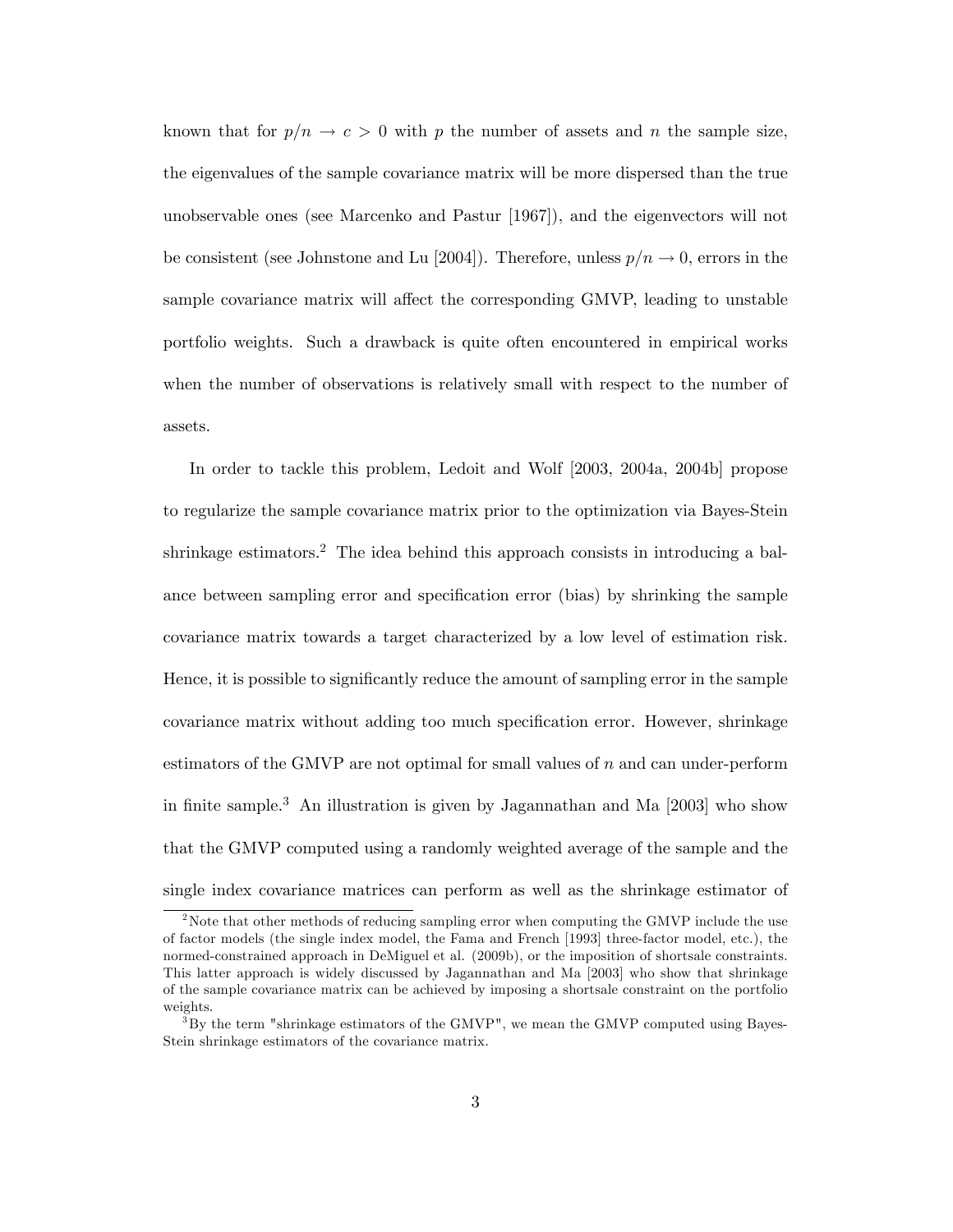known that for  $p/n \to c > 0$  with p the number of assets and n the sample size, the eigenvalues of the sample covariance matrix will be more dispersed than the true unobservable ones (see Marcenko and Pastur [1967]), and the eigenvectors will not be consistent (see Johnstone and Lu [2004]). Therefore, unless  $p/n \to 0$ , errors in the sample covariance matrix will affect the corresponding GMVP, leading to unstable portfolio weights. Such a drawback is quite often encountered in empirical works when the number of observations is relatively small with respect to the number of assets.

In order to tackle this problem, Ledoit and Wolf [2003, 2004a, 2004b] propose to regularize the sample covariance matrix prior to the optimization via Bayes-Stein shrinkage estimators.<sup>2</sup> The idea behind this approach consists in introducing a balance between sampling error and specification error (bias) by shrinking the sample covariance matrix towards a target characterized by a low level of estimation risk. Hence, it is possible to significantly reduce the amount of sampling error in the sample covariance matrix without adding too much specification error. However, shrinkage estimators of the GMVP are not optimal for small values of  $n$  and can under-perform in finite sample.<sup>3</sup> An illustration is given by Jagannathan and Ma  $[2003]$  who show that the GMVP computed using a randomly weighted average of the sample and the single index covariance matrices can perform as well as the shrinkage estimator of

<sup>&</sup>lt;sup>2</sup>Note that other methods of reducing sampling error when computing the GMVP include the use of factor models (the single index model, the Fama and French [1993] three-factor model, etc.), the normed-constrained approach in DeMiguel et al. (2009b), or the imposition of shortsale constraints. This latter approach is widely discussed by Jagannathan and Ma [2003] who show that shrinkage of the sample covariance matrix can be achieved by imposing a shortsale constraint on the portfolio weights.

 $3By$  the term "shrinkage estimators of the GMVP", we mean the GMVP computed using Bayes-Stein shrinkage estimators of the covariance matrix.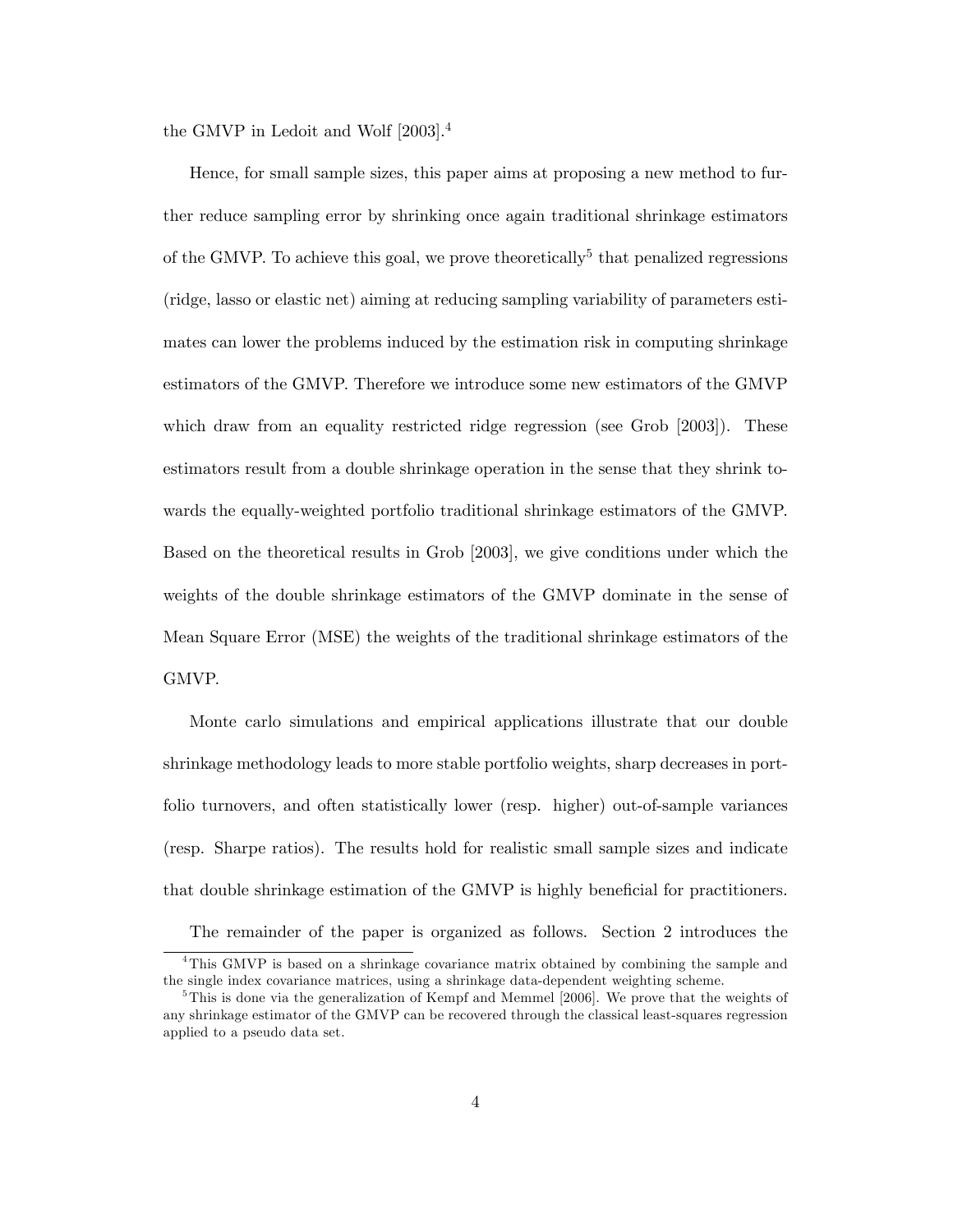the GMVP in Ledoit and Wolf [2003].<sup>4</sup>

Hence, for small sample sizes, this paper aims at proposing a new method to further reduce sampling error by shrinking once again traditional shrinkage estimators of the GMVP. To achieve this goal, we prove theoretically<sup>5</sup> that penalized regressions (ridge, lasso or elastic net) aiming at reducing sampling variability of parameters estimates can lower the problems induced by the estimation risk in computing shrinkage estimators of the GMVP. Therefore we introduce some new estimators of the GMVP which draw from an equality restricted ridge regression (see Grob [2003]). These estimators result from a double shrinkage operation in the sense that they shrink towards the equally-weighted portfolio traditional shrinkage estimators of the GMVP. Based on the theoretical results in Grob [2003], we give conditions under which the weights of the double shrinkage estimators of the GMVP dominate in the sense of Mean Square Error (MSE) the weights of the traditional shrinkage estimators of the GMVP.

Monte carlo simulations and empirical applications illustrate that our double shrinkage methodology leads to more stable portfolio weights, sharp decreases in portfolio turnovers, and often statistically lower (resp. higher) out-of-sample variances (resp. Sharpe ratios). The results hold for realistic small sample sizes and indicate that double shrinkage estimation of the GMVP is highly beneficial for practitioners.

The remainder of the paper is organized as follows. Section 2 introduces the

<sup>4</sup>This GMVP is based on a shrinkage covariance matrix obtained by combining the sample and the single index covariance matrices, using a shrinkage data-dependent weighting scheme.

<sup>&</sup>lt;sup>5</sup>This is done via the generalization of Kempf and Memmel [2006]. We prove that the weights of any shrinkage estimator of the GMVP can be recovered through the classical least-squares regression applied to a pseudo data set.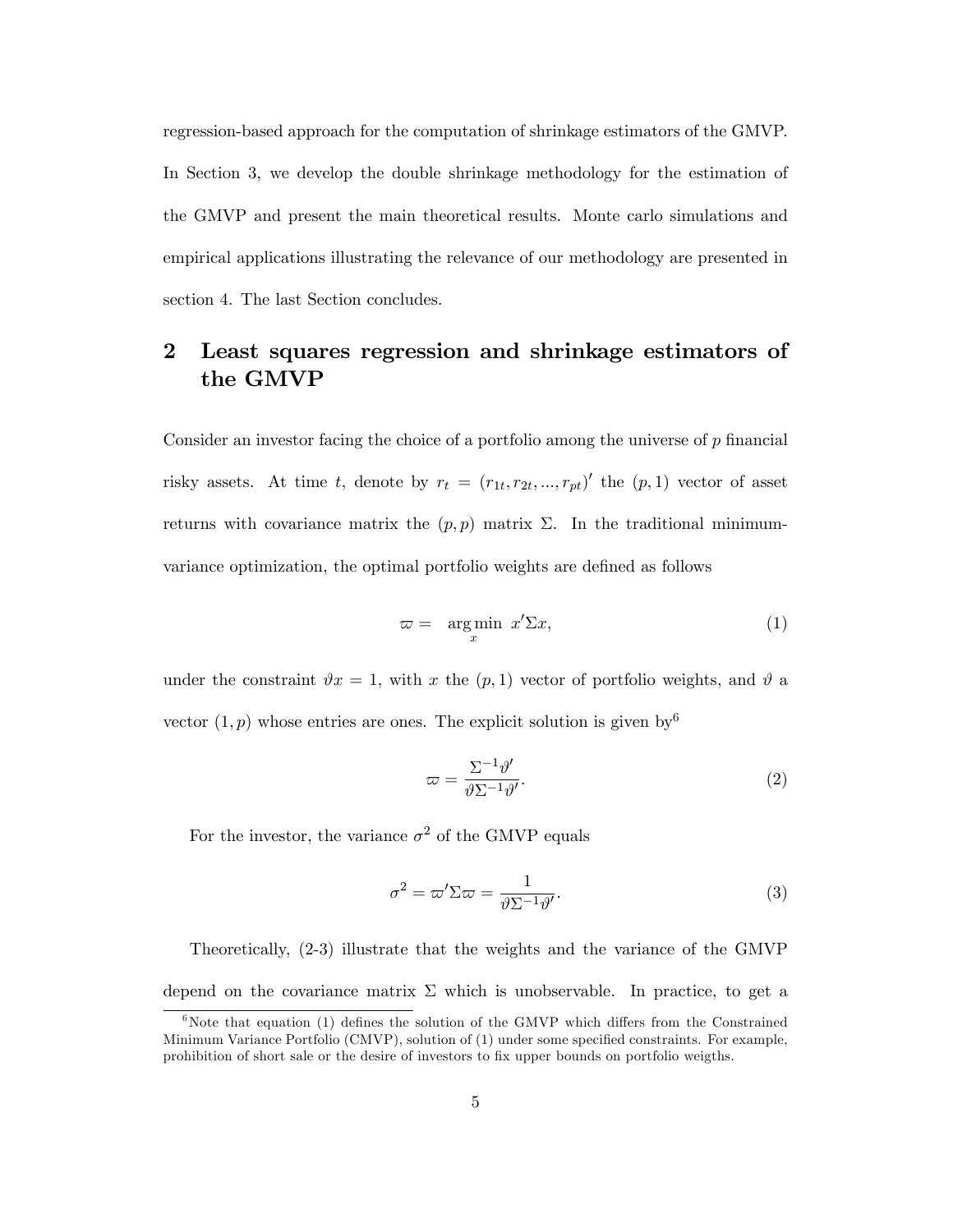regression-based approach for the computation of shrinkage estimators of the GMVP. In Section 3, we develop the double shrinkage methodology for the estimation of the GMVP and present the main theoretical results. Monte carlo simulations and empirical applications illustrating the relevance of our methodology are presented in section 4. The last Section concludes.

# 2 Least squares regression and shrinkage estimators of the GMVP

Consider an investor facing the choice of a portfolio among the universe of  $p$  financial risky assets. At time t, denote by  $r_t = (r_{1t}, r_{2t}, ..., r_{pt})'$  the  $(p, 1)$  vector of asset returns with covariance matrix the  $(p, p)$  matrix  $\Sigma$ . In the traditional minimumvariance optimization, the optimal portfolio weights are defined as follows

$$
\varpi = \underset{x}{\arg\min} \; x' \Sigma x,\tag{1}
$$

under the constraint  $\vartheta x = 1$ , with x the  $(p, 1)$  vector of portfolio weights, and  $\vartheta$  a vector  $(1, p)$  whose entries are ones. The explicit solution is given by  $6$ 

$$
\varpi = \frac{\Sigma^{-1} \vartheta'}{\vartheta \Sigma^{-1} \vartheta'}.
$$
\n(2)

For the investor, the variance  $\sigma^2$  of the GMVP equals

$$
\sigma^2 = \varpi' \Sigma \varpi = \frac{1}{\vartheta \Sigma^{-1} \vartheta'}.
$$
\n(3)

Theoretically, (2-3) illustrate that the weights and the variance of the GMVP depend on the covariance matrix  $\Sigma$  which is unobservable. In practice, to get a

 $6\%$ Note that equation (1) defines the solution of the GMVP which differs from the Constrained Minimum Variance Portfolio (CMVP), solution of (1) under some specified constraints. For example, prohibition of short sale or the desire of investors to Öx upper bounds on portfolio weigths.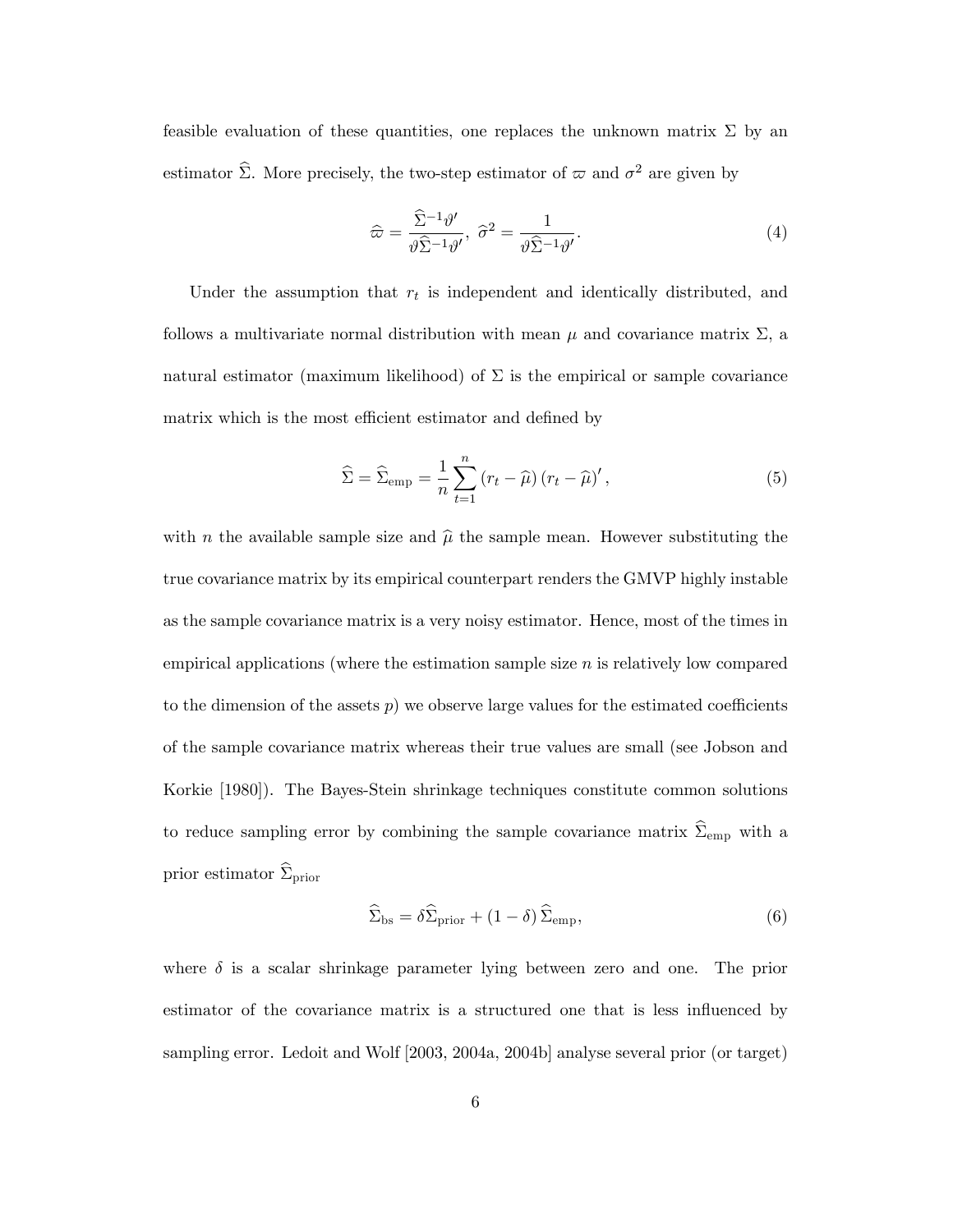feasible evaluation of these quantities, one replaces the unknown matrix  $\Sigma$  by an estimator  $\hat{\Sigma}$ . More precisely, the two-step estimator of  $\varpi$  and  $\sigma^2$  are given by

$$
\widehat{\varpi} = \frac{\widehat{\Sigma}^{-1} \vartheta'}{\vartheta \widehat{\Sigma}^{-1} \vartheta'}, \ \widehat{\sigma}^2 = \frac{1}{\vartheta \widehat{\Sigma}^{-1} \vartheta'}.
$$
 (4)

Under the assumption that  $r_t$  is independent and identically distributed, and follows a multivariate normal distribution with mean  $\mu$  and covariance matrix  $\Sigma$ , a natural estimator (maximum likelihood) of  $\Sigma$  is the empirical or sample covariance matrix which is the most efficient estimator and defined by

$$
\widehat{\Sigma} = \widehat{\Sigma}_{\text{emp}} = \frac{1}{n} \sum_{t=1}^{n} \left( r_t - \widehat{\mu} \right) \left( r_t - \widehat{\mu} \right)', \tag{5}
$$

with n the available sample size and  $\hat{\mu}$  the sample mean. However substituting the true covariance matrix by its empirical counterpart renders the GMVP highly instable as the sample covariance matrix is a very noisy estimator. Hence, most of the times in empirical applications (where the estimation sample size  $n$  is relatively low compared to the dimension of the assets  $p$ ) we observe large values for the estimated coefficients of the sample covariance matrix whereas their true values are small (see Jobson and Korkie [1980]). The Bayes-Stein shrinkage techniques constitute common solutions to reduce sampling error by combining the sample covariance matrix  $\widehat{\Sigma}_{emp}$  with a prior estimator  $\widehat{\Sigma}_{prior}$ 

$$
\widehat{\Sigma}_{\text{bs}} = \delta \widehat{\Sigma}_{\text{prior}} + (1 - \delta) \widehat{\Sigma}_{\text{emp}},\tag{6}
$$

where  $\delta$  is a scalar shrinkage parameter lying between zero and one. The prior estimator of the covariance matrix is a structured one that is less influenced by sampling error. Ledoit and Wolf [2003, 2004a, 2004b] analyse several prior (or target)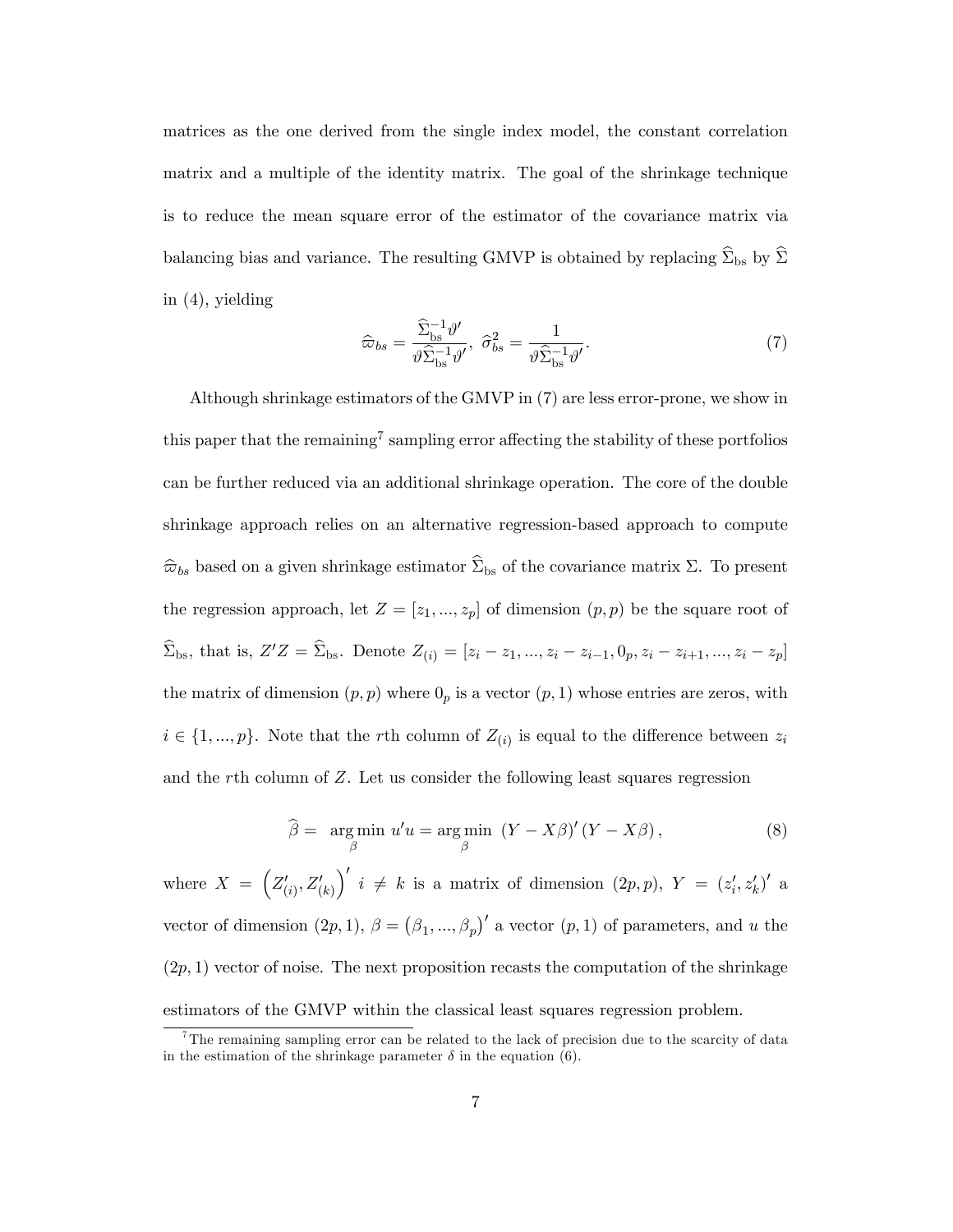matrices as the one derived from the single index model, the constant correlation matrix and a multiple of the identity matrix. The goal of the shrinkage technique is to reduce the mean square error of the estimator of the covariance matrix via balancing bias and variance. The resulting GMVP is obtained by replacing  $\widehat{\Sigma}_{\rm bs}$  by  $\widehat{\Sigma}$ in (4), yielding

$$
\widehat{\varpi}_{bs} = \frac{\widehat{\Sigma}_{bs}^{-1} \vartheta'}{\vartheta \widehat{\Sigma}_{bs}^{-1} \vartheta'}, \ \widehat{\sigma}_{bs}^2 = \frac{1}{\vartheta \widehat{\Sigma}_{bs}^{-1} \vartheta'}.
$$
\n(7)

Although shrinkage estimators of the GMVP in (7) are less error-prone, we show in this paper that the remaining<sup>7</sup> sampling error affecting the stability of these portfolios can be further reduced via an additional shrinkage operation. The core of the double shrinkage approach relies on an alternative regression-based approach to compute  $\hat{\varpi}_{bs}$  based on a given shrinkage estimator  $\hat{\Sigma}_{bs}$  of the covariance matrix  $\Sigma$ . To present the regression approach, let  $Z = [z_1, ..., z_p]$  of dimension  $(p, p)$  be the square root of  $\Sigma_{\rm bs}$ , that is,  $Z'Z = \Sigma_{\rm bs}$ . Denote  $Z_{(i)} = [z_i - z_1, ..., z_i - z_{i-1}, 0_p, z_i - z_{i+1}, ..., z_i - z_p]$ the matrix of dimension  $(p, p)$  where  $0<sub>p</sub>$  is a vector  $(p, 1)$  whose entries are zeros, with  $i \in \{1, ..., p\}$ . Note that the rth column of  $Z_{(i)}$  is equal to the difference between  $z_i$ and the rth column of Z. Let us consider the following least squares regression

$$
\widehat{\beta} = \underset{\beta}{\arg\min} \ u'u = \underset{\beta}{\arg\min} \ (Y - X\beta)'(Y - X\beta), \tag{8}
$$

where  $X = \left(Z'_{(i)}, Z'_{(k)}\right)$  $\int' i \neq k$  is a matrix of dimension  $(2p, p)$ ,  $Y = (z'_i, z'_k)'$  a vector of dimension  $(2p, 1), \beta = (\beta_1, ..., \beta_p)'$  a vector  $(p, 1)$  of parameters, and u the  $(2p, 1)$  vector of noise. The next proposition recasts the computation of the shrinkage estimators of the GMVP within the classical least squares regression problem.

<sup>&</sup>lt;sup>7</sup>The remaining sampling error can be related to the lack of precision due to the scarcity of data in the estimation of the shrinkage parameter  $\delta$  in the equation (6).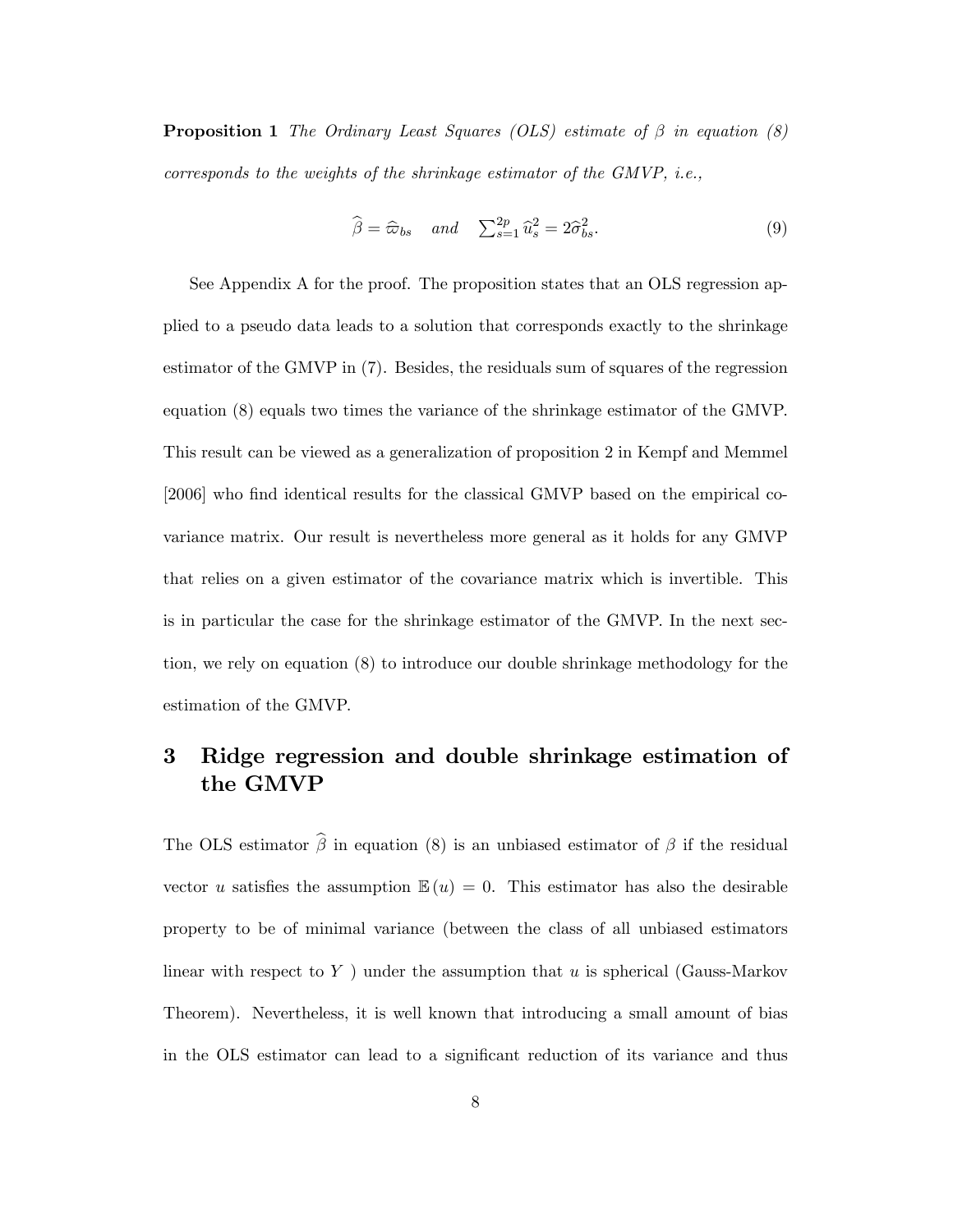**Proposition 1** The Ordinary Least Squares (OLS) estimate of  $\beta$  in equation (8) corresponds to the weights of the shrinkage estimator of the GMVP, i.e.,

$$
\widehat{\beta} = \widehat{\varpi}_{bs} \quad and \quad \sum_{s=1}^{2p} \widehat{u}_s^2 = 2\widehat{\sigma}_{bs}^2. \tag{9}
$$

See Appendix A for the proof. The proposition states that an OLS regression applied to a pseudo data leads to a solution that corresponds exactly to the shrinkage estimator of the GMVP in (7). Besides, the residuals sum of squares of the regression equation (8) equals two times the variance of the shrinkage estimator of the GMVP. This result can be viewed as a generalization of proposition 2 in Kempf and Memmel [2006] who find identical results for the classical GMVP based on the empirical covariance matrix. Our result is nevertheless more general as it holds for any GMVP that relies on a given estimator of the covariance matrix which is invertible. This is in particular the case for the shrinkage estimator of the GMVP. In the next section, we rely on equation (8) to introduce our double shrinkage methodology for the estimation of the GMVP.

## 3 Ridge regression and double shrinkage estimation of the GMVP

The OLS estimator  $\hat{\beta}$  in equation (8) is an unbiased estimator of  $\beta$  if the residual vector u satisfies the assumption  $\mathbb{E}(u) = 0$ . This estimator has also the desirable property to be of minimal variance (between the class of all unbiased estimators linear with respect to  $Y$ ) under the assumption that u is spherical (Gauss-Markov Theorem). Nevertheless, it is well known that introducing a small amount of bias in the OLS estimator can lead to a significant reduction of its variance and thus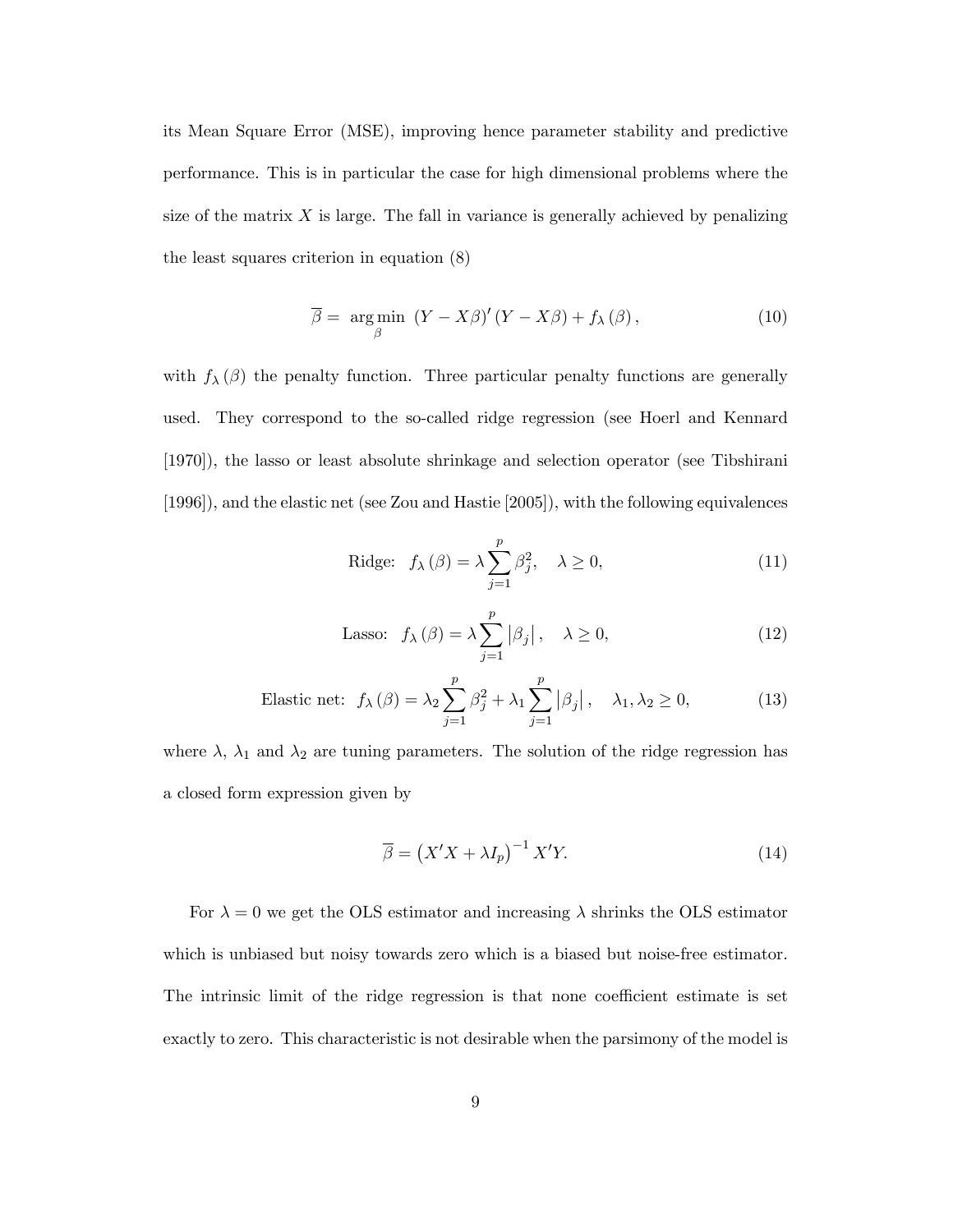its Mean Square Error (MSE), improving hence parameter stability and predictive performance. This is in particular the case for high dimensional problems where the size of the matrix  $X$  is large. The fall in variance is generally achieved by penalizing the least squares criterion in equation (8)

$$
\overline{\beta} = \underset{\beta}{\arg\min} \left( Y - X\beta \right)' (Y - X\beta) + f_{\lambda}(\beta), \tag{10}
$$

with  $f_{\lambda}(\beta)$  the penalty function. Three particular penalty functions are generally used. They correspond to the so-called ridge regression (see Hoerl and Kennard [1970]), the lasso or least absolute shrinkage and selection operator (see Tibshirani [1996]), and the elastic net (see Zou and Hastie [2005]), with the following equivalences

$$
\text{Ridge:} \quad f_{\lambda}(\beta) = \lambda \sum_{j=1}^{p} \beta_j^2, \quad \lambda \ge 0,\tag{11}
$$

Lasso: 
$$
f_{\lambda}(\beta) = \lambda \sum_{j=1}^{p} |\beta_j|, \quad \lambda \ge 0,
$$
 (12)

Elastic net: 
$$
f_{\lambda}(\beta) = \lambda_2 \sum_{j=1}^p \beta_j^2 + \lambda_1 \sum_{j=1}^p |\beta_j|, \quad \lambda_1, \lambda_2 \ge 0,
$$
 (13)

where  $\lambda$ ,  $\lambda_1$  and  $\lambda_2$  are tuning parameters. The solution of the ridge regression has a closed form expression given by

$$
\overline{\beta} = \left(X'X + \lambda I_p\right)^{-1} X'Y. \tag{14}
$$

For  $\lambda = 0$  we get the OLS estimator and increasing  $\lambda$  shrinks the OLS estimator which is unbiased but noisy towards zero which is a biased but noise-free estimator. The intrinsic limit of the ridge regression is that none coefficient estimate is set exactly to zero. This characteristic is not desirable when the parsimony of the model is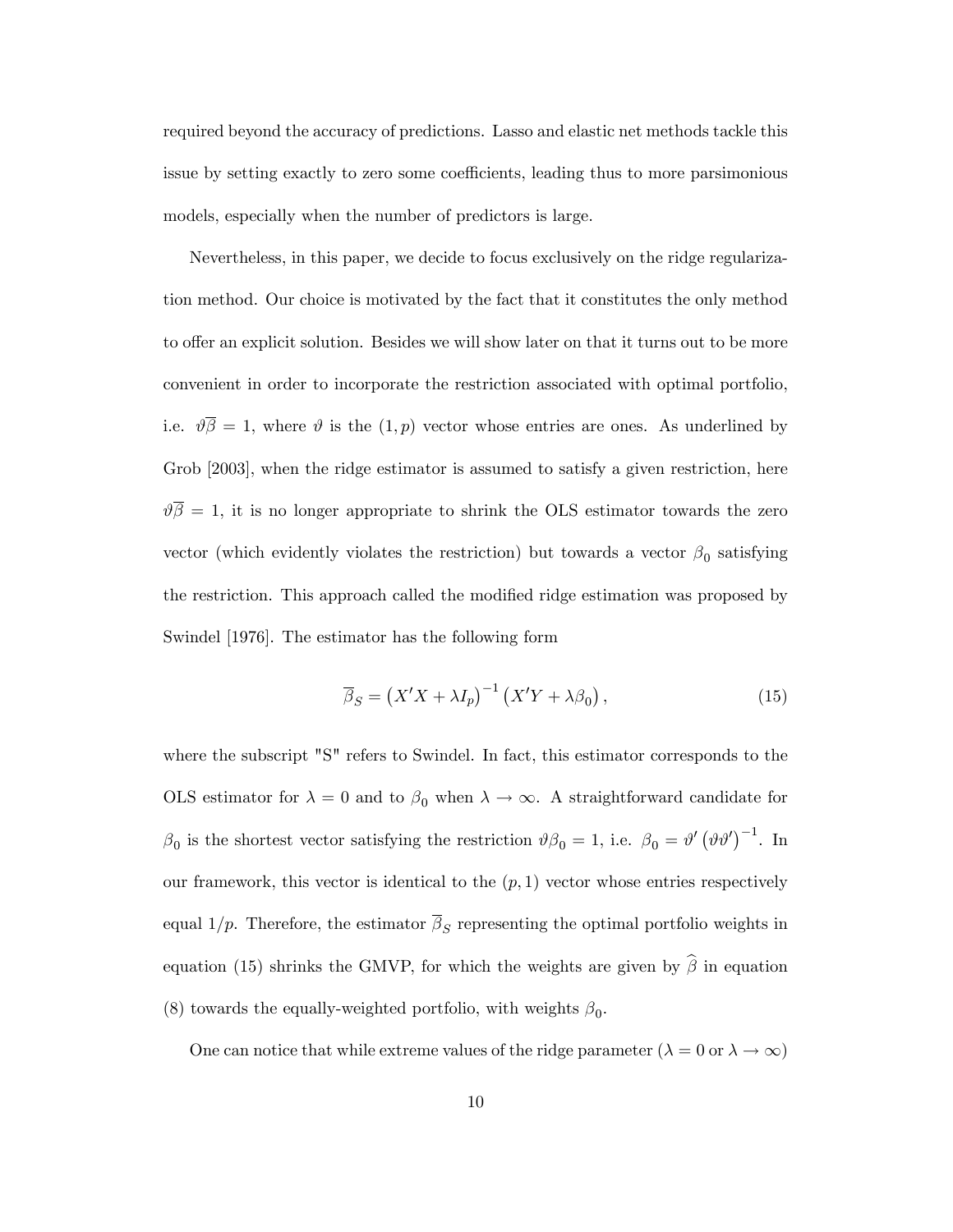required beyond the accuracy of predictions. Lasso and elastic net methods tackle this issue by setting exactly to zero some coefficients, leading thus to more parsimonious models, especially when the number of predictors is large.

Nevertheless, in this paper, we decide to focus exclusively on the ridge regularization method. Our choice is motivated by the fact that it constitutes the only method to offer an explicit solution. Besides we will show later on that it turns out to be more convenient in order to incorporate the restriction associated with optimal portfolio, i.e.  $\vartheta \overline{\beta} = 1$ , where  $\vartheta$  is the  $(1, p)$  vector whose entries are ones. As underlined by Grob [2003], when the ridge estimator is assumed to satisfy a given restriction, here  $\vartheta \overline{\beta} = 1$ , it is no longer appropriate to shrink the OLS estimator towards the zero vector (which evidently violates the restriction) but towards a vector  $\beta_0$  satisfying the restriction. This approach called the modified ridge estimation was proposed by Swindel [1976]. The estimator has the following form

$$
\overline{\beta}_S = \left(X'X + \lambda I_p\right)^{-1} \left(X'Y + \lambda \beta_0\right),\tag{15}
$$

where the subscript "S" refers to Swindel. In fact, this estimator corresponds to the OLS estimator for  $\lambda = 0$  and to  $\beta_0$  when  $\lambda \to \infty$ . A straightforward candidate for  $\beta_0$  is the shortest vector satisfying the restriction  $\vartheta \beta_0 = 1$ , i.e.  $\beta_0 = \vartheta' (\vartheta \vartheta')^{-1}$ . In our framework, this vector is identical to the  $(p, 1)$  vector whose entries respectively equal  $1/p$ . Therefore, the estimator  $\beta_S$  representing the optimal portfolio weights in equation (15) shrinks the GMVP, for which the weights are given by  $\hat{\beta}$  in equation (8) towards the equally-weighted portfolio, with weights  $\beta_0$ .

One can notice that while extreme values of the ridge parameter  $(\lambda = 0 \text{ or } \lambda \to \infty)$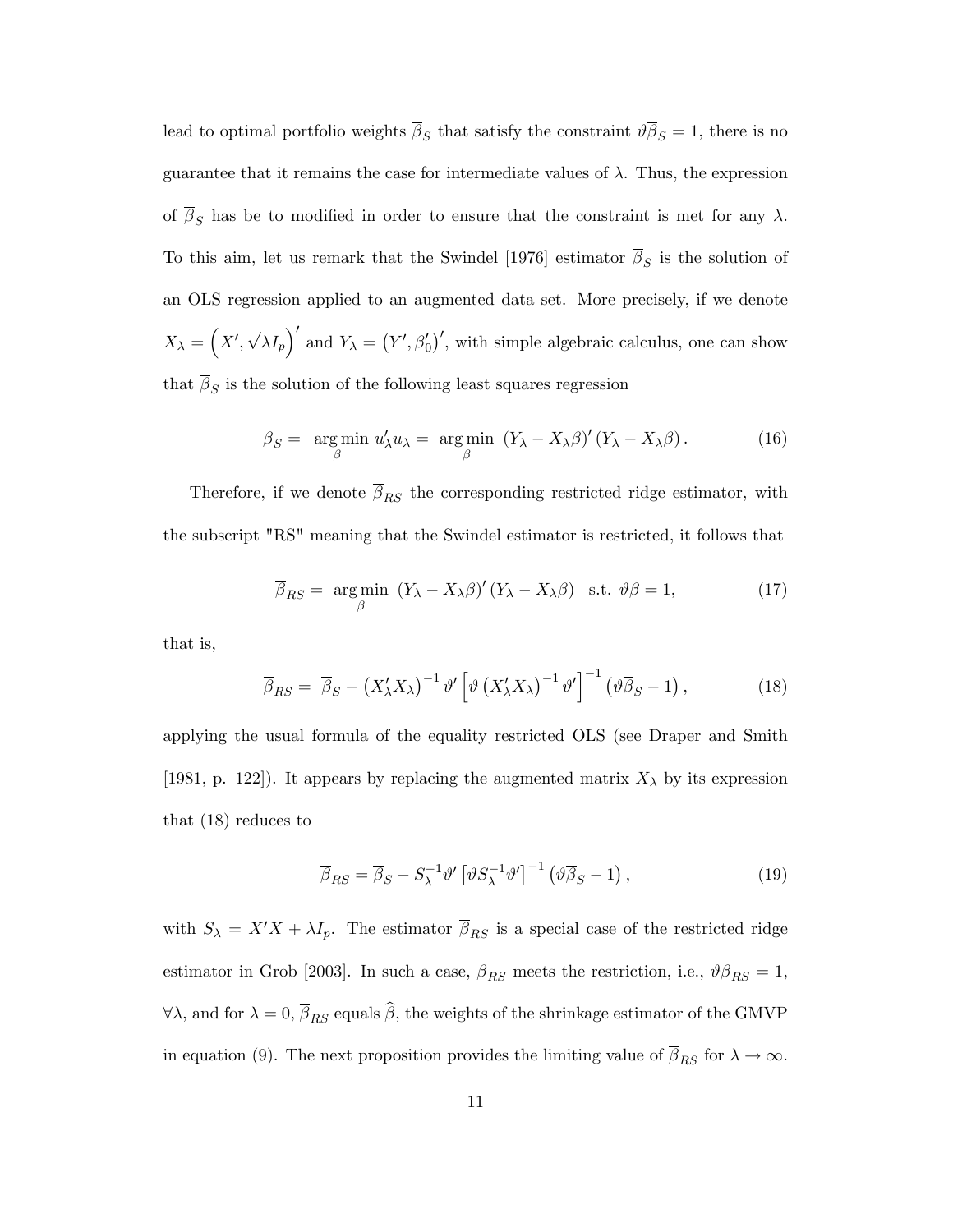lead to optimal portfolio weights  $\beta_S$  that satisfy the constraint  $\vartheta \beta_S = 1$ , there is no guarantee that it remains the case for intermediate values of  $\lambda$ . Thus, the expression of  $\overline{\beta}_S$  has be to modified in order to ensure that the constraint is met for any  $\lambda$ . To this aim, let us remark that the Swindel [1976] estimator  $\beta_S$  is the solution of an OLS regression applied to an augmented data set. More precisely, if we denote  $X_{\lambda} = (X', \sqrt{\lambda}I_p)'$  and  $Y_{\lambda} = (Y', \beta'_0)'$ , with simple algebraic calculus, one can show that  $\beta_S$  is the solution of the following least squares regression

$$
\overline{\beta}_S = \underset{\beta}{\arg\min} \ u'_\lambda u_\lambda = \underset{\beta}{\arg\min} \ (Y_\lambda - X_\lambda \beta)' (Y_\lambda - X_\lambda \beta). \tag{16}
$$

Therefore, if we denote  $\overline{\beta}_{RS}$  the corresponding restricted ridge estimator, with the subscript "RS" meaning that the Swindel estimator is restricted, it follows that

$$
\overline{\beta}_{RS} = \underset{\beta}{\text{arg min}} (Y_{\lambda} - X_{\lambda}\beta)' (Y_{\lambda} - X_{\lambda}\beta) \text{ s.t. } \vartheta\beta = 1,
$$
 (17)

that is,

$$
\overline{\beta}_{RS} = \overline{\beta}_S - \left(X'_{\lambda} X_{\lambda}\right)^{-1} \vartheta' \left[\vartheta \left(X'_{\lambda} X_{\lambda}\right)^{-1} \vartheta'\right]^{-1} \left(\vartheta \overline{\beta}_S - 1\right),\tag{18}
$$

applying the usual formula of the equality restricted OLS (see Draper and Smith [1981, p. 122]). It appears by replacing the augmented matrix  $X_{\lambda}$  by its expression that (18) reduces to

$$
\overline{\beta}_{RS} = \overline{\beta}_S - S_{\lambda}^{-1} \vartheta' \left[ \vartheta S_{\lambda}^{-1} \vartheta' \right]^{-1} \left( \vartheta \overline{\beta}_S - 1 \right), \tag{19}
$$

with  $S_{\lambda} = X'X + \lambda I_p$ . The estimator  $\overline{\beta}_{RS}$  is a special case of the restricted ridge estimator in Grob [2003]. In such a case,  $\overline{\beta}_{RS}$  meets the restriction, i.e.,  $\partial \overline{\beta}_{RS} = 1$ ,  $\forall \lambda$ , and for  $\lambda = 0$ ,  $\overline{\beta}_{RS}$  equals  $\widehat{\beta}$ , the weights of the shrinkage estimator of the GMVP in equation (9). The next proposition provides the limiting value of  $\overline{\beta}_{RS}$  for  $\lambda \to \infty$ .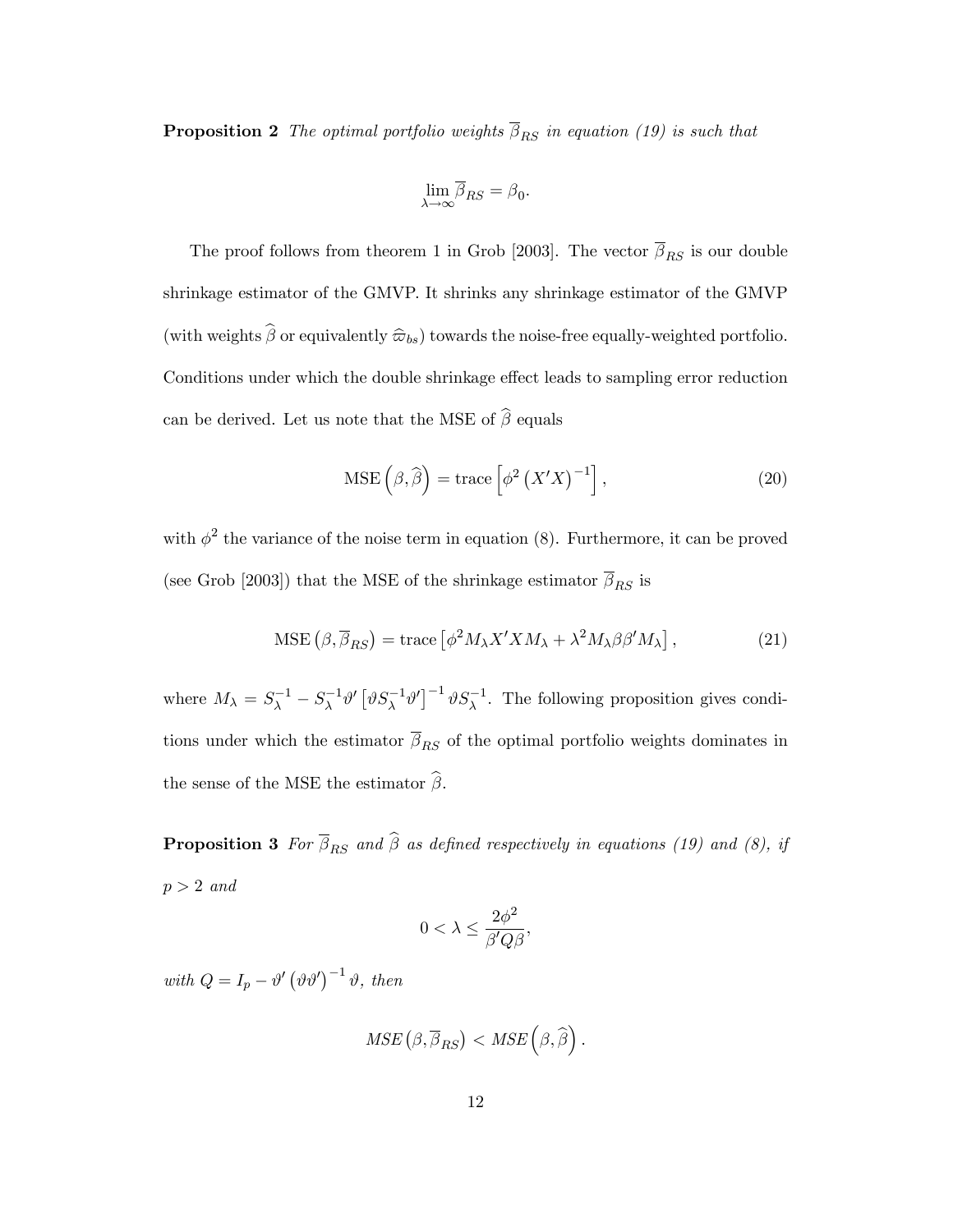**Proposition 2** The optimal portfolio weights  $\overline{\beta}_{RS}$  in equation (19) is such that

$$
\lim_{\lambda\to\infty}\!\overline{\!\beta}_{RS}=\beta_0.
$$

The proof follows from theorem 1 in Grob [2003]. The vector  $\overline{\beta}_{RS}$  is our double shrinkage estimator of the GMVP. It shrinks any shrinkage estimator of the GMVP (with weights  $\widehat{\beta}$  or equivalently  $\widehat{\omega}_{bs}$ ) towards the noise-free equally-weighted portfolio. Conditions under which the double shrinkage effect leads to sampling error reduction can be derived. Let us note that the MSE of  $\widehat{\boldsymbol{\beta}}$  equals

$$
\text{MSE}\left(\beta,\widehat{\beta}\right) = \text{trace}\left[\phi^2\left(X'X\right)^{-1}\right],\tag{20}
$$

with  $\phi^2$  the variance of the noise term in equation (8). Furthermore, it can be proved (see Grob [2003]) that the MSE of the shrinkage estimator  $\overline{\beta}_{RS}$  is

$$
\text{MSE}\left(\beta,\overline{\beta}_{RS}\right) = \text{trace}\left[\phi^2 M_{\lambda} X' X M_{\lambda} + \lambda^2 M_{\lambda} \beta \beta' M_{\lambda}\right],\tag{21}
$$

where  $M_{\lambda} = S_{\lambda}^{-1} - S_{\lambda}^{-1} \vartheta' \left[ \vartheta S_{\lambda}^{-1} \vartheta' \right]^{-1} \vartheta S_{\lambda}^{-1}$ . The following proposition gives conditions under which the estimator  $\overline{\beta}_{RS}$  of the optimal portfolio weights dominates in the sense of the MSE the estimator  $\hat{\beta}$ .

**Proposition 3** For  $\overline{\beta}_{RS}$  and  $\widehat{\beta}$  as defined respectively in equations (19) and (8), if  $p > 2$  and

$$
0 < \lambda \le \frac{2\phi^2}{\beta'Q\beta},
$$

with  $Q = I_p - \vartheta' (\vartheta \vartheta')^{-1} \vartheta$ , then

$$
MSE\left(\beta,\overline{\beta}_{RS}\right) < MSE\left(\beta,\widehat{\beta}\right).
$$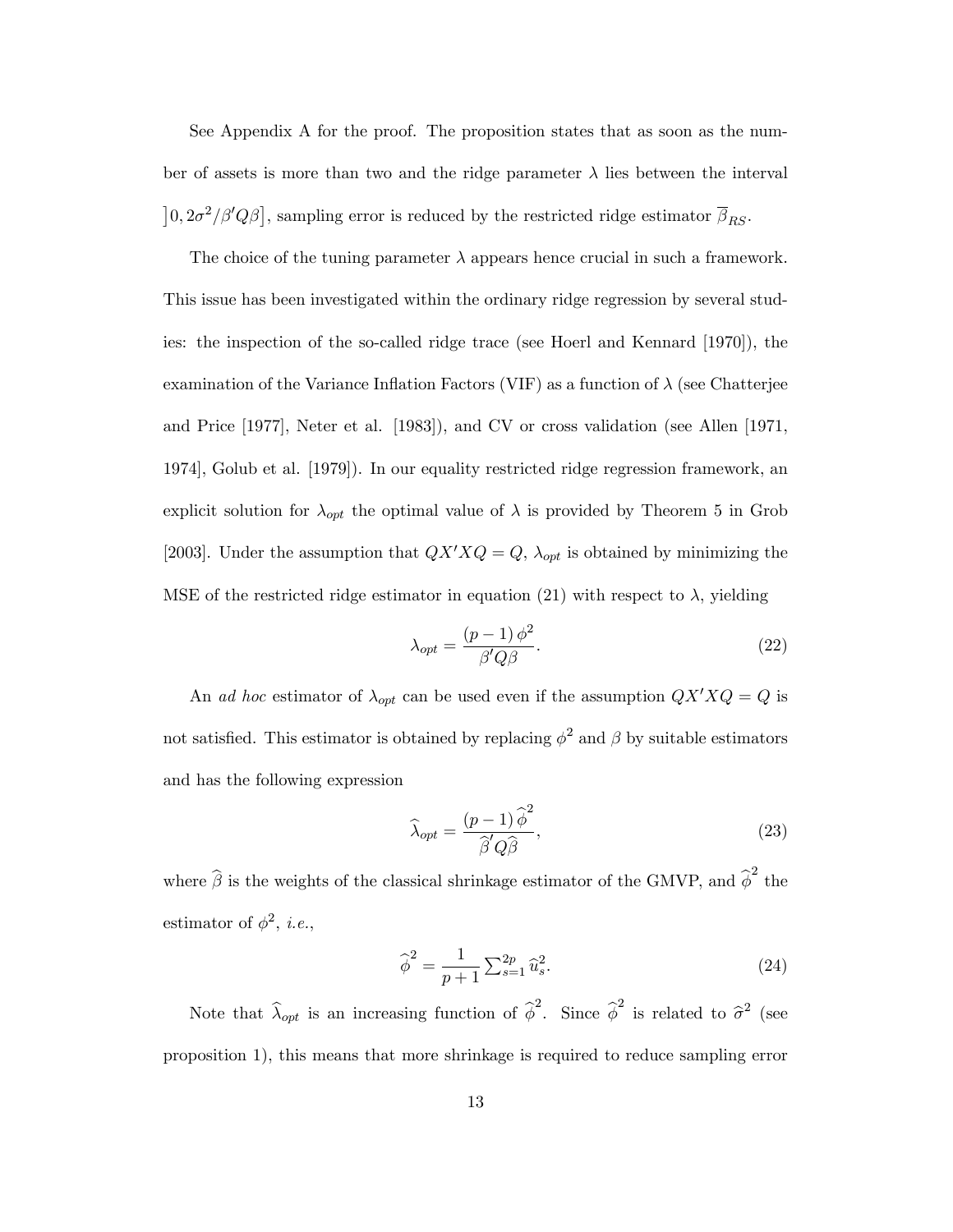See Appendix A for the proof. The proposition states that as soon as the number of assets is more than two and the ridge parameter  $\lambda$  lies between the interval  $\left[0, 2\sigma^2/\beta'Q\beta\right]$ , sampling error is reduced by the restricted ridge estimator  $\overline{\beta}_{RS}$ .

The choice of the tuning parameter  $\lambda$  appears hence crucial in such a framework. This issue has been investigated within the ordinary ridge regression by several studies: the inspection of the so-called ridge trace (see Hoerl and Kennard [1970]), the examination of the Variance Inflation Factors (VIF) as a function of  $\lambda$  (see Chatterjee and Price [1977], Neter et al. [1983]), and CV or cross validation (see Allen [1971, 1974], Golub et al. [1979]). In our equality restricted ridge regression framework, an explicit solution for  $\lambda_{opt}$  the optimal value of  $\lambda$  is provided by Theorem 5 in Grob [2003]. Under the assumption that  $QX'XQ = Q$ ,  $\lambda_{opt}$  is obtained by minimizing the MSE of the restricted ridge estimator in equation (21) with respect to  $\lambda$ , yielding

$$
\lambda_{opt} = \frac{(p-1)\,\phi^2}{\beta' Q \beta}.\tag{22}
$$

An ad hoc estimator of  $\lambda_{opt}$  can be used even if the assumption  $QX'XQ = Q$  is not satisfied. This estimator is obtained by replacing  $\phi^2$  and  $\beta$  by suitable estimators and has the following expression

$$
\widehat{\lambda}_{opt} = \frac{(p-1)\widehat{\phi}^2}{\widehat{\beta}'Q\widehat{\beta}},\tag{23}
$$

where  $\hat{\beta}$  is the weights of the classical shrinkage estimator of the GMVP, and  $\hat{\phi}^2$  the estimator of  $\phi^2$ , *i.e.*,

$$
\widehat{\phi}^2 = \frac{1}{p+1} \sum_{s=1}^{2p} \widehat{u}_s^2.
$$
\n(24)

Note that  $\hat{\lambda}_{opt}$  is an increasing function of  $\hat{\phi}^2$ . Since  $\hat{\phi}^2$  is related to  $\hat{\sigma}^2$  (see proposition 1), this means that more shrinkage is required to reduce sampling error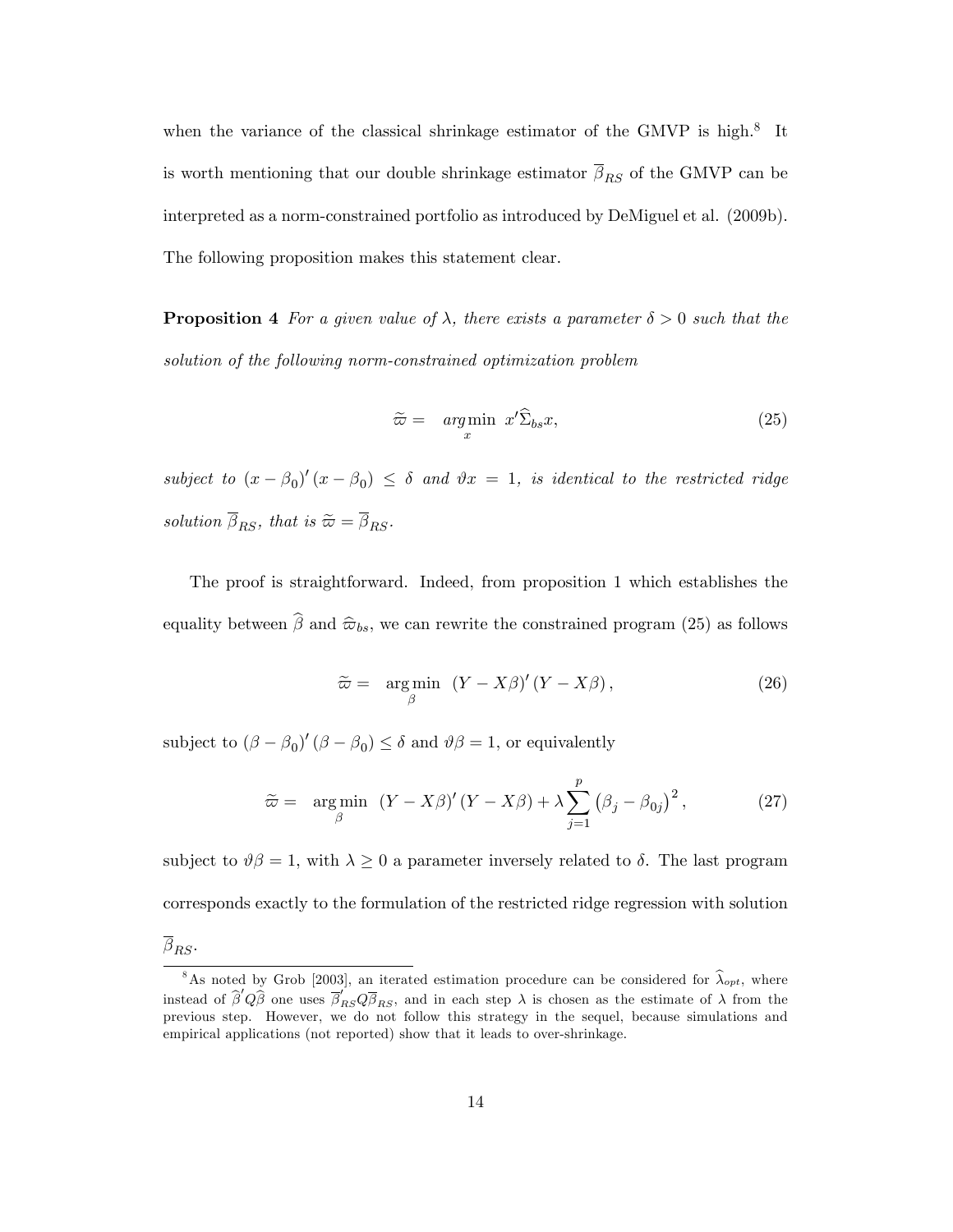when the variance of the classical shrinkage estimator of the GMVP is high.<sup>8</sup> It is worth mentioning that our double shrinkage estimator  $\overline{\beta}_{RS}$  of the GMVP can be interpreted as a norm-constrained portfolio as introduced by DeMiguel et al. (2009b). The following proposition makes this statement clear.

**Proposition 4** For a given value of  $\lambda$ , there exists a parameter  $\delta > 0$  such that the solution of the following norm-constrained optimization problem

$$
\widetilde{\varpi} = \underset{x}{\arg\min} \ x' \widehat{\Sigma}_{bs} x,\tag{25}
$$

subject to  $(x - \beta_0)'(x - \beta_0) \le \delta$  and  $\vartheta x = 1$ , is identical to the restricted ridge solution  $\overline{\beta}_{RS}$ , that is  $\widetilde{\varpi} = \overline{\beta}_{RS}$ .

The proof is straightforward. Indeed, from proposition 1 which establishes the equality between  $\hat{\beta}$  and  $\hat{\varpi}_{bs}$ , we can rewrite the constrained program (25) as follows

$$
\widetilde{\varpi} = \underset{\beta}{\arg\min} \left( Y - X\beta \right)' (Y - X\beta), \tag{26}
$$

subject to  $(\beta - \beta_0)'(\beta - \beta_0) \leq \delta$  and  $\vartheta\beta = 1$ , or equivalently

$$
\widetilde{\varpi} = \underset{\beta}{\arg\min} \left( Y - X\beta \right)' (Y - X\beta) + \lambda \sum_{j=1}^{p} \left( \beta_j - \beta_{0j} \right)^2, \tag{27}
$$

subject to  $\vartheta \beta = 1$ , with  $\lambda \geq 0$  a parameter inversely related to  $\delta$ . The last program corresponds exactly to the formulation of the restricted ridge regression with solution  $\beta_{RS}$ .

<sup>&</sup>lt;sup>8</sup>As noted by Grob [2003], an iterated estimation procedure can be considered for  $\hat{\lambda}_{opt}$ , where instead of  $\hat{\beta}'Q\hat{\beta}$  one uses  $\overline{\beta}'_{RS}Q\overline{\beta}_{RS}$ , and in each step  $\lambda$  is chosen as the estimate of  $\lambda$  from the previous step. However, we do not follow this strategy in the sequel, because simulations and empirical applications (not reported) show that it leads to over-shrinkage.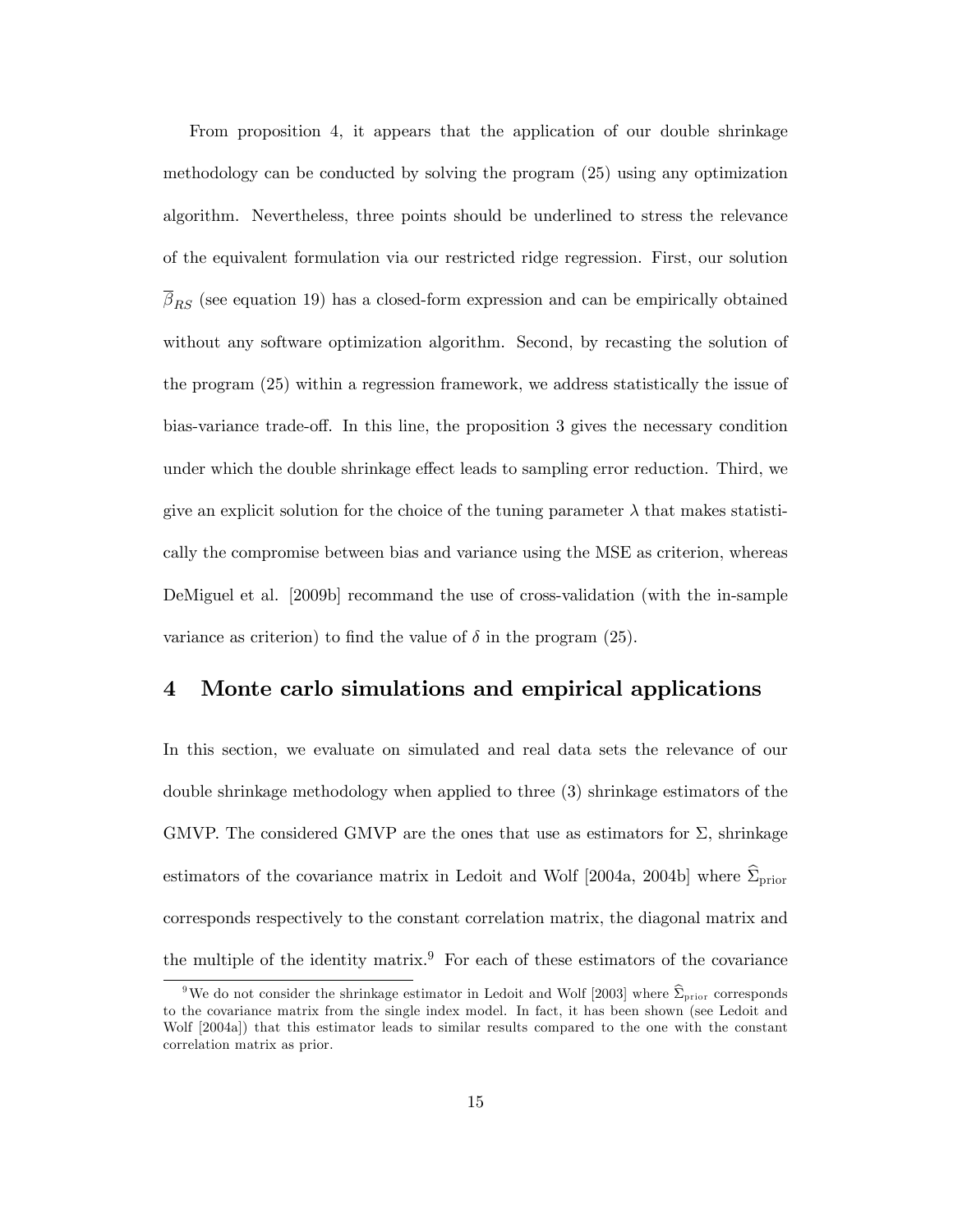From proposition 4, it appears that the application of our double shrinkage methodology can be conducted by solving the program (25) using any optimization algorithm. Nevertheless, three points should be underlined to stress the relevance of the equivalent formulation via our restricted ridge regression. First, our solution  $\beta_{RS}$  (see equation 19) has a closed-form expression and can be empirically obtained without any software optimization algorithm. Second, by recasting the solution of the program (25) within a regression framework, we address statistically the issue of bias-variance trade-off. In this line, the proposition 3 gives the necessary condition under which the double shrinkage effect leads to sampling error reduction. Third, we give an explicit solution for the choice of the tuning parameter  $\lambda$  that makes statistically the compromise between bias and variance using the MSE as criterion, whereas DeMiguel et al. [2009b] recommand the use of cross-validation (with the in-sample variance as criterion) to find the value of  $\delta$  in the program (25).

## 4 Monte carlo simulations and empirical applications

In this section, we evaluate on simulated and real data sets the relevance of our double shrinkage methodology when applied to three (3) shrinkage estimators of the GMVP. The considered GMVP are the ones that use as estimators for  $\Sigma$ , shrinkage estimators of the covariance matrix in Ledoit and Wolf [2004a, 2004b] where  $\Sigma_{\text{prior}}$ corresponds respectively to the constant correlation matrix, the diagonal matrix and the multiple of the identity matrix.<sup>9</sup> For each of these estimators of the covariance

<sup>&</sup>lt;sup>9</sup>We do not consider the shrinkage estimator in Ledoit and Wolf [2003] where  $\hat{\Sigma}_{\text{prior}}$  corresponds to the covariance matrix from the single index model. In fact, it has been shown (see Ledoit and Wolf [2004a]) that this estimator leads to similar results compared to the one with the constant correlation matrix as prior.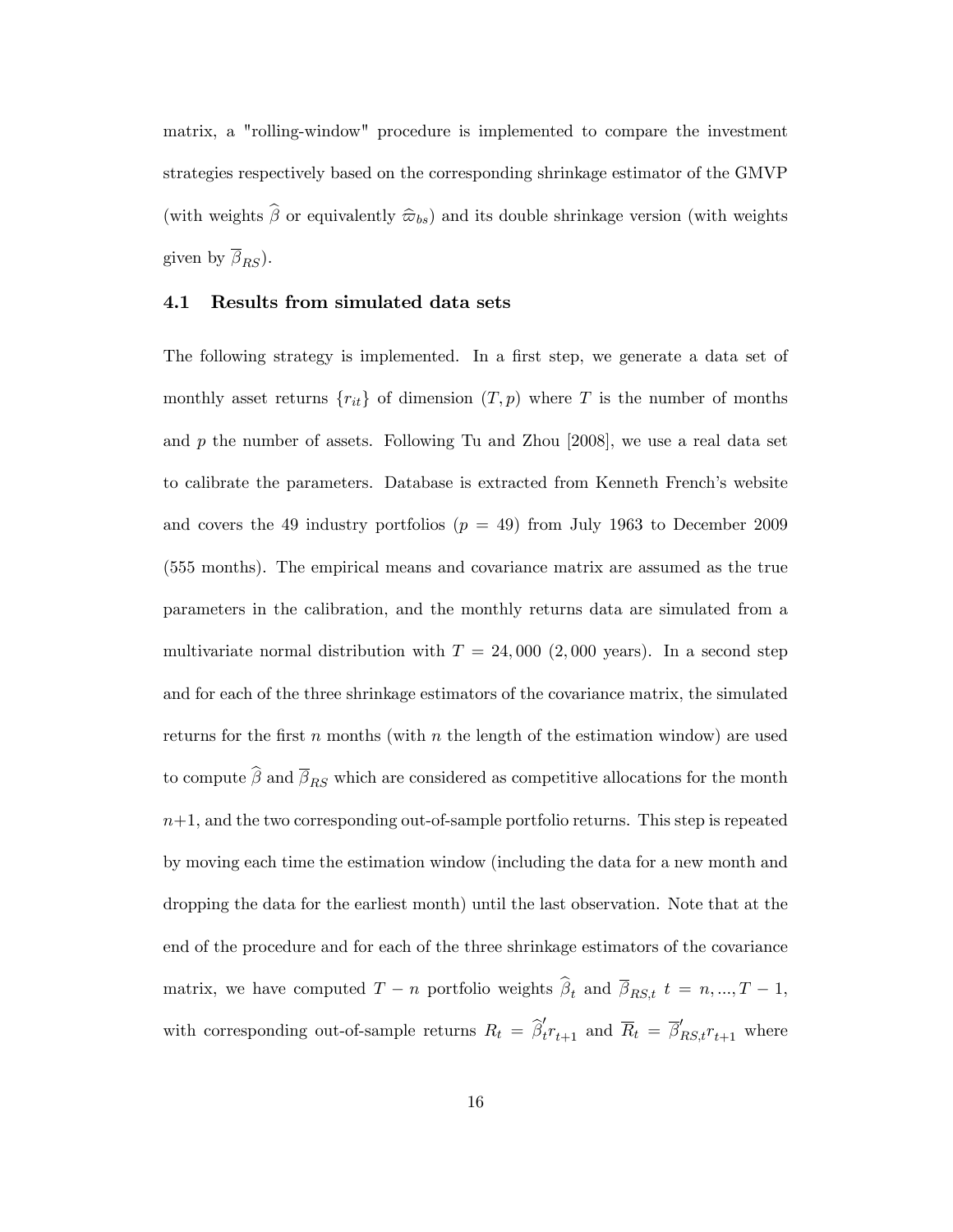matrix, a "rolling-window" procedure is implemented to compare the investment strategies respectively based on the corresponding shrinkage estimator of the GMVP (with weights  $\widehat{\beta}$  or equivalently  $\widehat{\omega}_{bs}$ ) and its double shrinkage version (with weights given by  $\overline{\beta}_{RS}$ ).

### 4.1 Results from simulated data sets

The following strategy is implemented. In a first step, we generate a data set of monthly asset returns  ${r_{it}}$  of dimension  $(T, p)$  where T is the number of months and  $p$  the number of assets. Following Tu and Zhou  $[2008]$ , we use a real data set to calibrate the parameters. Database is extracted from Kenneth Frenchís website and covers the 49 industry portfolios  $(p = 49)$  from July 1963 to December 2009 (555 months). The empirical means and covariance matrix are assumed as the true parameters in the calibration, and the monthly returns data are simulated from a multivariate normal distribution with  $T = 24,000$  (2,000 years). In a second step and for each of the three shrinkage estimators of the covariance matrix, the simulated returns for the first  $n$  months (with  $n$  the length of the estimation window) are used to compute  $\widehat{\boldsymbol{\beta}}$  and  $\overline{\beta}_{RS}$  which are considered as competitive allocations for the month  $n+1$ , and the two corresponding out-of-sample portfolio returns. This step is repeated by moving each time the estimation window (including the data for a new month and dropping the data for the earliest month) until the last observation. Note that at the end of the procedure and for each of the three shrinkage estimators of the covariance matrix, we have computed  $T - n$  portfolio weights  $\beta_t$  and  $\beta_{RS,t}$   $t = n, ..., T - 1$ , with corresponding out-of-sample returns  $R_t = \hat{\beta}'_t r_{t+1}$  and  $\overline{R}_t = \overline{\beta}'_{RS,t} r_{t+1}$  where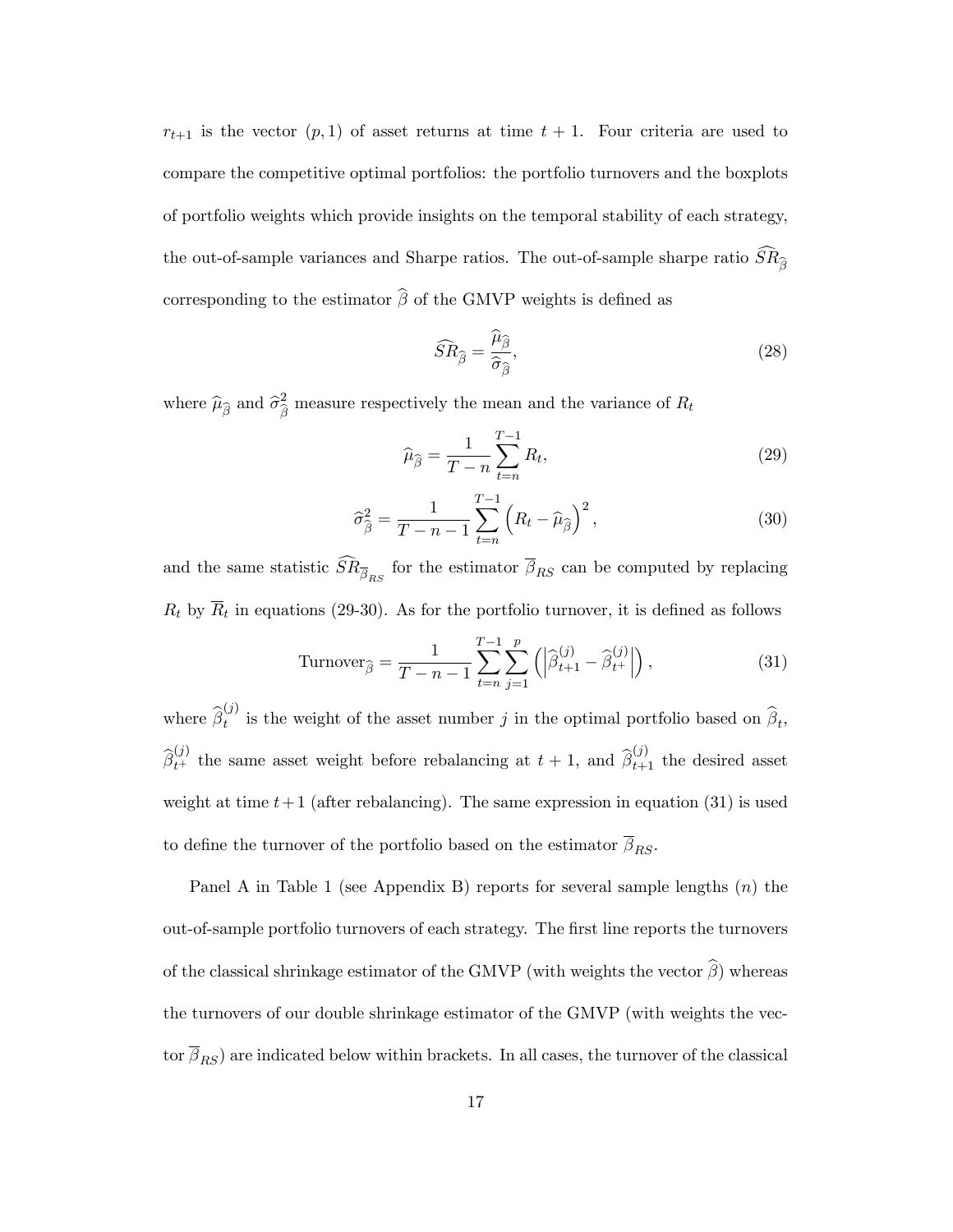$r_{t+1}$  is the vector  $(p, 1)$  of asset returns at time  $t + 1$ . Four criteria are used to compare the competitive optimal portfolios: the portfolio turnovers and the boxplots of portfolio weights which provide insights on the temporal stability of each strategy, the out-of-sample variances and Sharpe ratios. The out-of-sample sharpe ratio  $\overline{SR}_{\hat{a}}$ corresponding to the estimator  $\widehat{\beta}$  of the GMVP weights is defined as

$$
\widehat{SR}_{\widehat{\beta}} = \frac{\widehat{\mu}_{\widehat{\beta}}}{\widehat{\sigma}_{\widehat{\beta}}},\tag{28}
$$

where  $\widehat{\mu}_{\widehat{\beta}}$  and  $\widehat{\sigma}_{\widehat{\beta}}^2$  measure respectively the mean and the variance of  $R_t$ 

$$
\widehat{\mu}_{\widehat{\beta}} = \frac{1}{T - n} \sum_{t=n}^{T-1} R_t,\tag{29}
$$

$$
\widehat{\sigma}_{\widehat{\beta}}^2 = \frac{1}{T - n - 1} \sum_{t=n}^{T-1} \left( R_t - \widehat{\mu}_{\widehat{\beta}} \right)^2, \tag{30}
$$

and the same statistic  $SR_{\overline{\beta}_{RS}}$  for the estimator  $\beta_{RS}$  can be computed by replacing  $R_t$  by  $R_t$  in equations (29-30). As for the portfolio turnover, it is defined as follows

Turnover<sub>$$
\hat{\beta}
$$</sub> =  $\frac{1}{T - n - 1} \sum_{t=n}^{T-1} \sum_{j=1}^{p} (|\hat{\beta}_{t+1}^{(j)} - \hat{\beta}_{t+}^{(j)}|),$  (31)

where  $\widehat{\beta}_t^{(j)}$  $t_i^{(j)}$  is the weight of the asset number j in the optimal portfolio based on  $\beta_t$ ,  $\hat{\beta}_{t+}^{(j)}$  the same asset weight before rebalancing at  $t+1$ , and  $\hat{\beta}_{t+1}^{(j)}$  the desired asset weight at time  $t+1$  (after rebalancing). The same expression in equation (31) is used to define the turnover of the portfolio based on the estimator  $\overline{\beta}_{RS}.$ 

Panel A in Table 1 (see Appendix B) reports for several sample lengths  $(n)$  the out-of-sample portfolio turnovers of each strategy. The Örst line reports the turnovers of the classical shrinkage estimator of the GMVP (with weights the vector  $\hat{\beta}$ ) whereas the turnovers of our double shrinkage estimator of the GMVP (with weights the vector  $\overline{\beta}_{RS}$ ) are indicated below within brackets. In all cases, the turnover of the classical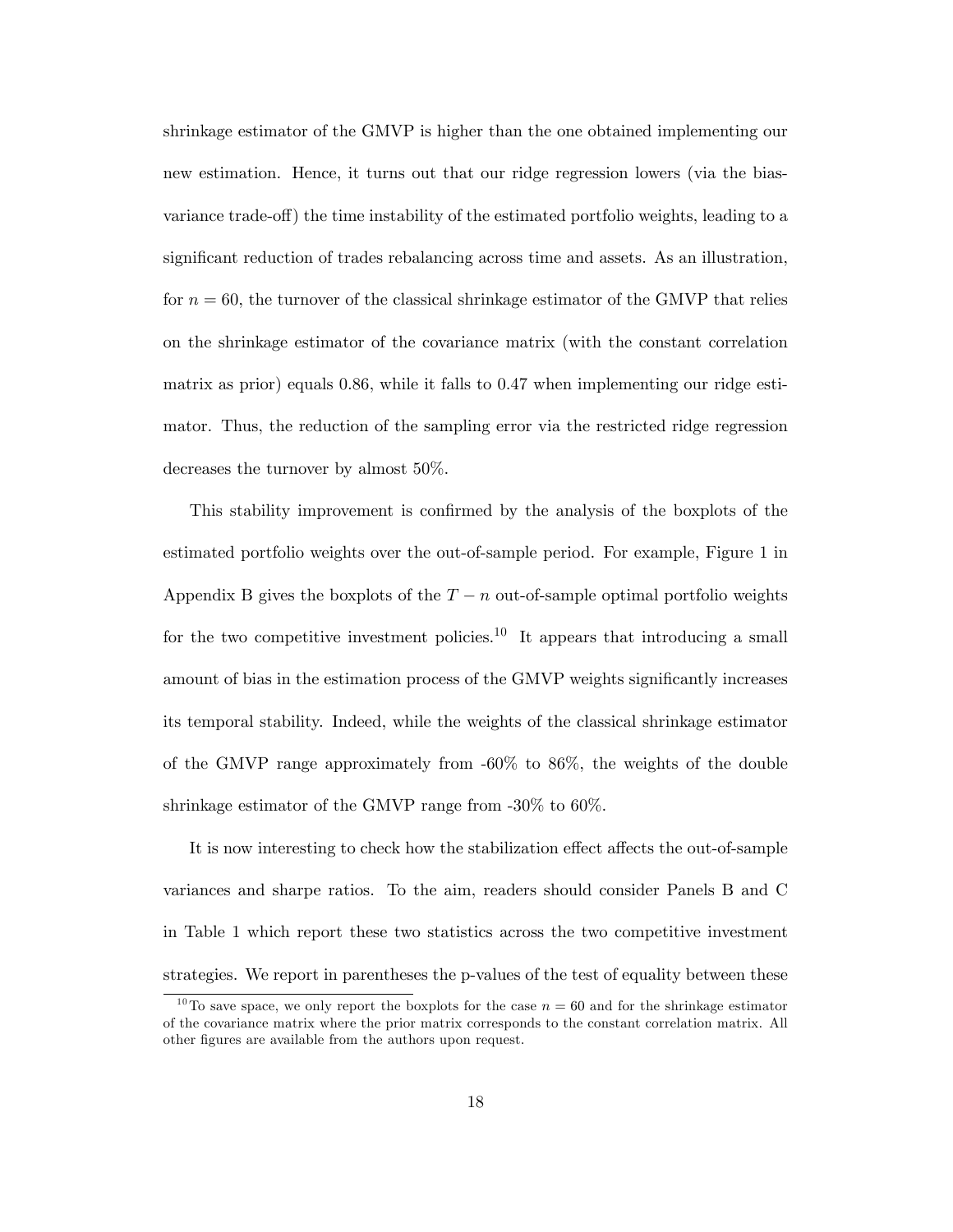shrinkage estimator of the GMVP is higher than the one obtained implementing our new estimation. Hence, it turns out that our ridge regression lowers (via the biasvariance trade-off) the time instability of the estimated portfolio weights, leading to a significant reduction of trades rebalancing across time and assets. As an illustration, for  $n = 60$ , the turnover of the classical shrinkage estimator of the GMVP that relies on the shrinkage estimator of the covariance matrix (with the constant correlation matrix as prior) equals 0.86, while it falls to 0.47 when implementing our ridge estimator. Thus, the reduction of the sampling error via the restricted ridge regression decreases the turnover by almost 50%.

This stability improvement is confirmed by the analysis of the boxplots of the estimated portfolio weights over the out-of-sample period. For example, Figure 1 in Appendix B gives the boxplots of the  $T - n$  out-of-sample optimal portfolio weights for the two competitive investment policies.<sup>10</sup> It appears that introducing a small amount of bias in the estimation process of the GMVP weights significantly increases its temporal stability. Indeed, while the weights of the classical shrinkage estimator of the GMVP range approximately from -60% to 86%, the weights of the double shrinkage estimator of the GMVP range from -30% to 60%.

It is now interesting to check how the stabilization effect affects the out-of-sample variances and sharpe ratios. To the aim, readers should consider Panels B and C in Table 1 which report these two statistics across the two competitive investment strategies. We report in parentheses the p-values of the test of equality between these

<sup>&</sup>lt;sup>10</sup>To save space, we only report the boxplots for the case  $n = 60$  and for the shrinkage estimator of the covariance matrix where the prior matrix corresponds to the constant correlation matrix. All other Ögures are available from the authors upon request.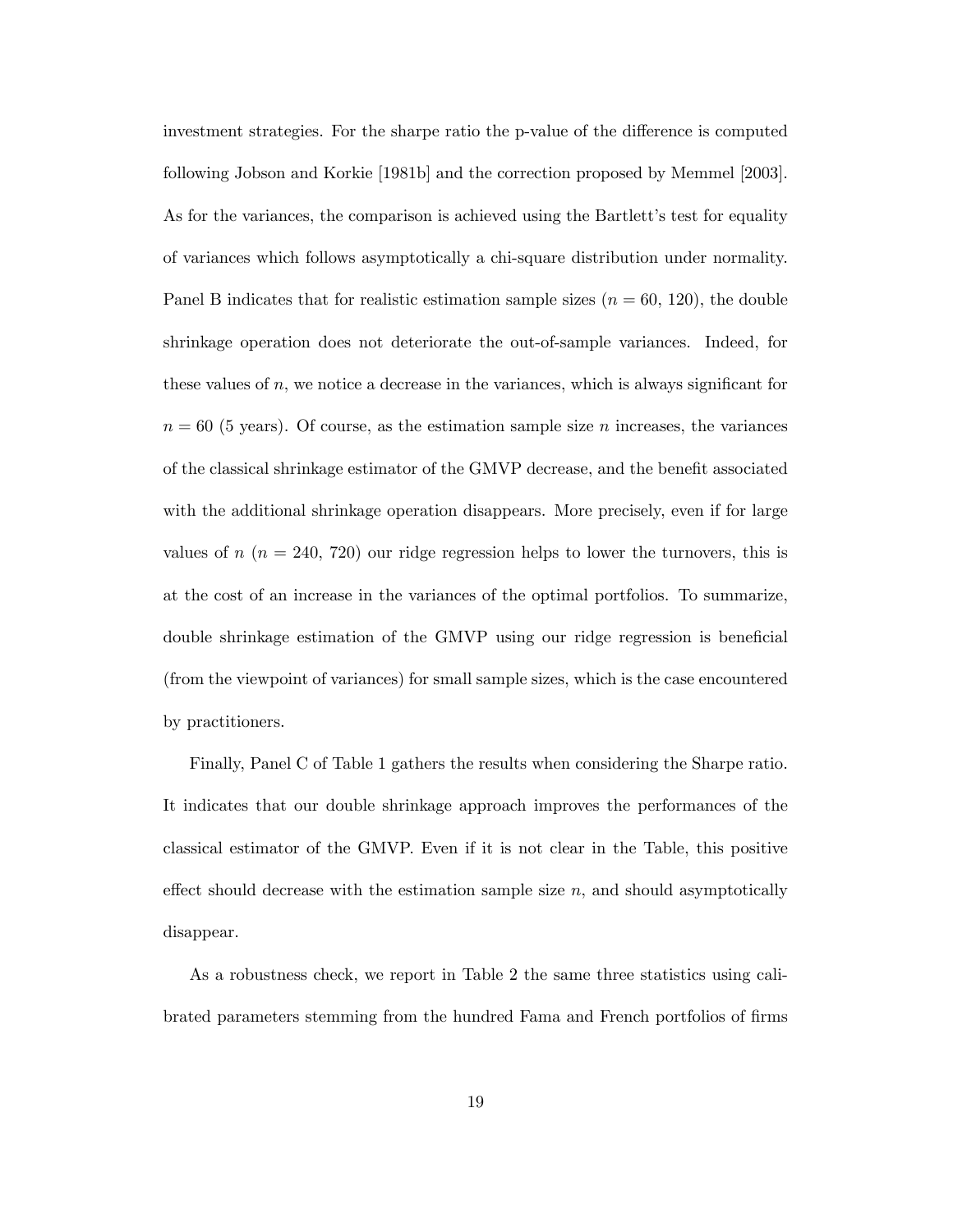investment strategies. For the sharpe ratio the p-value of the difference is computed following Jobson and Korkie [1981b] and the correction proposed by Memmel [2003]. As for the variances, the comparison is achieved using the Bartlett's test for equality of variances which follows asymptotically a chi-square distribution under normality. Panel B indicates that for realistic estimation sample sizes  $(n = 60, 120)$ , the double shrinkage operation does not deteriorate the out-of-sample variances. Indeed, for these values of  $n$ , we notice a decrease in the variances, which is always significant for  $n = 60$  (5 years). Of course, as the estimation sample size n increases, the variances of the classical shrinkage estimator of the GMVP decrease, and the benefit associated with the additional shrinkage operation disappears. More precisely, even if for large values of  $n (n = 240, 720)$  our ridge regression helps to lower the turnovers, this is at the cost of an increase in the variances of the optimal portfolios. To summarize, double shrinkage estimation of the GMVP using our ridge regression is beneficial (from the viewpoint of variances) for small sample sizes, which is the case encountered by practitioners.

Finally, Panel C of Table 1 gathers the results when considering the Sharpe ratio. It indicates that our double shrinkage approach improves the performances of the classical estimator of the GMVP. Even if it is not clear in the Table, this positive effect should decrease with the estimation sample size  $n$ , and should asymptotically disappear.

As a robustness check, we report in Table 2 the same three statistics using calibrated parameters stemming from the hundred Fama and French portfolios of firms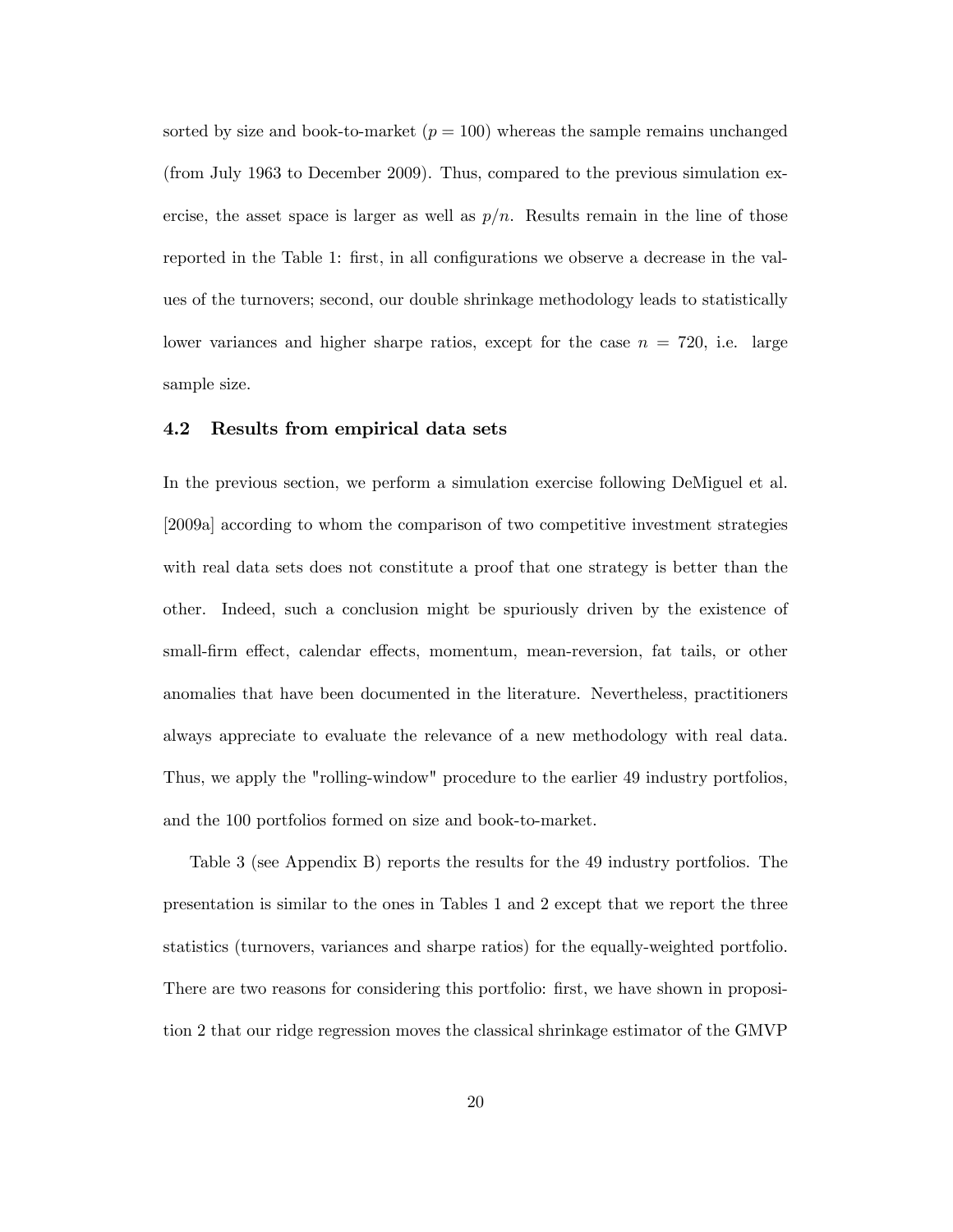sorted by size and book-to-market  $(p = 100)$  whereas the sample remains unchanged (from July 1963 to December 2009). Thus, compared to the previous simulation exercise, the asset space is larger as well as  $p/n$ . Results remain in the line of those reported in the Table 1: first, in all configurations we observe a decrease in the values of the turnovers; second, our double shrinkage methodology leads to statistically lower variances and higher sharpe ratios, except for the case  $n = 720$ , i.e. large sample size.

### 4.2 Results from empirical data sets

In the previous section, we perform a simulation exercise following DeMiguel et al. [2009a] according to whom the comparison of two competitive investment strategies with real data sets does not constitute a proof that one strategy is better than the other. Indeed, such a conclusion might be spuriously driven by the existence of small-firm effect, calendar effects, momentum, mean-reversion, fat tails, or other anomalies that have been documented in the literature. Nevertheless, practitioners always appreciate to evaluate the relevance of a new methodology with real data. Thus, we apply the "rolling-window" procedure to the earlier 49 industry portfolios, and the 100 portfolios formed on size and book-to-market.

Table 3 (see Appendix B) reports the results for the 49 industry portfolios. The presentation is similar to the ones in Tables 1 and 2 except that we report the three statistics (turnovers, variances and sharpe ratios) for the equally-weighted portfolio. There are two reasons for considering this portfolio: first, we have shown in proposition 2 that our ridge regression moves the classical shrinkage estimator of the GMVP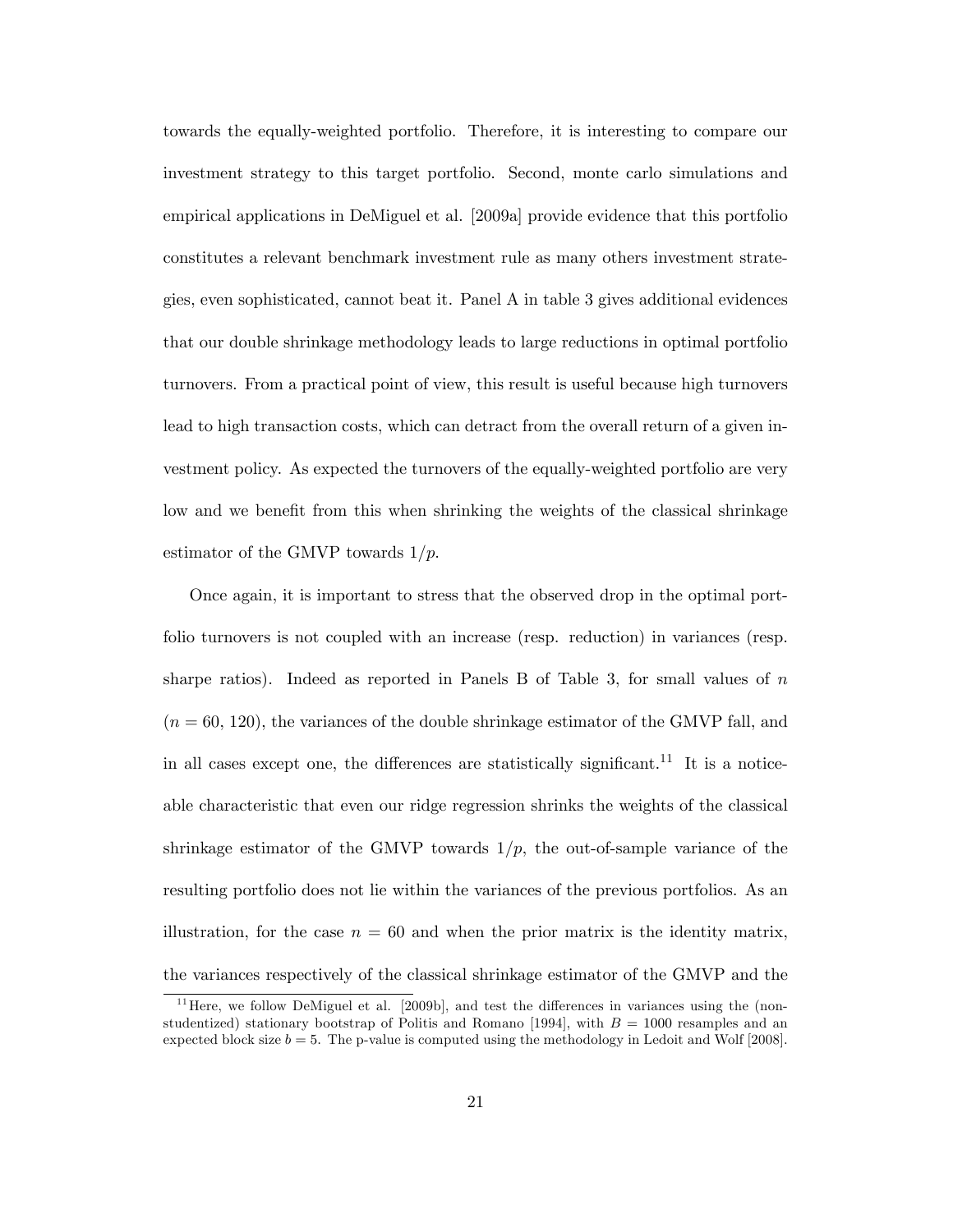towards the equally-weighted portfolio. Therefore, it is interesting to compare our investment strategy to this target portfolio. Second, monte carlo simulations and empirical applications in DeMiguel et al. [2009a] provide evidence that this portfolio constitutes a relevant benchmark investment rule as many others investment strategies, even sophisticated, cannot beat it. Panel A in table 3 gives additional evidences that our double shrinkage methodology leads to large reductions in optimal portfolio turnovers. From a practical point of view, this result is useful because high turnovers lead to high transaction costs, which can detract from the overall return of a given investment policy. As expected the turnovers of the equally-weighted portfolio are very low and we benefit from this when shrinking the weights of the classical shrinkage estimator of the GMVP towards  $1/p$ .

Once again, it is important to stress that the observed drop in the optimal portfolio turnovers is not coupled with an increase (resp. reduction) in variances (resp. sharpe ratios). Indeed as reported in Panels B of Table 3, for small values of  $n$  $(n = 60, 120)$ , the variances of the double shrinkage estimator of the GMVP fall, and in all cases except one, the differences are statistically significant.<sup>11</sup> It is a noticeable characteristic that even our ridge regression shrinks the weights of the classical shrinkage estimator of the GMVP towards  $1/p$ , the out-of-sample variance of the resulting portfolio does not lie within the variances of the previous portfolios. As an illustration, for the case  $n = 60$  and when the prior matrix is the identity matrix, the variances respectively of the classical shrinkage estimator of the GMVP and the

 $11$  Here, we follow DeMiguel et al. [2009b], and test the differences in variances using the (nonstudentized) stationary bootstrap of Politis and Romano [1994], with  $B = 1000$  resamples and an expected block size  $b = 5$ . The p-value is computed using the methodology in Ledoit and Wolf [2008].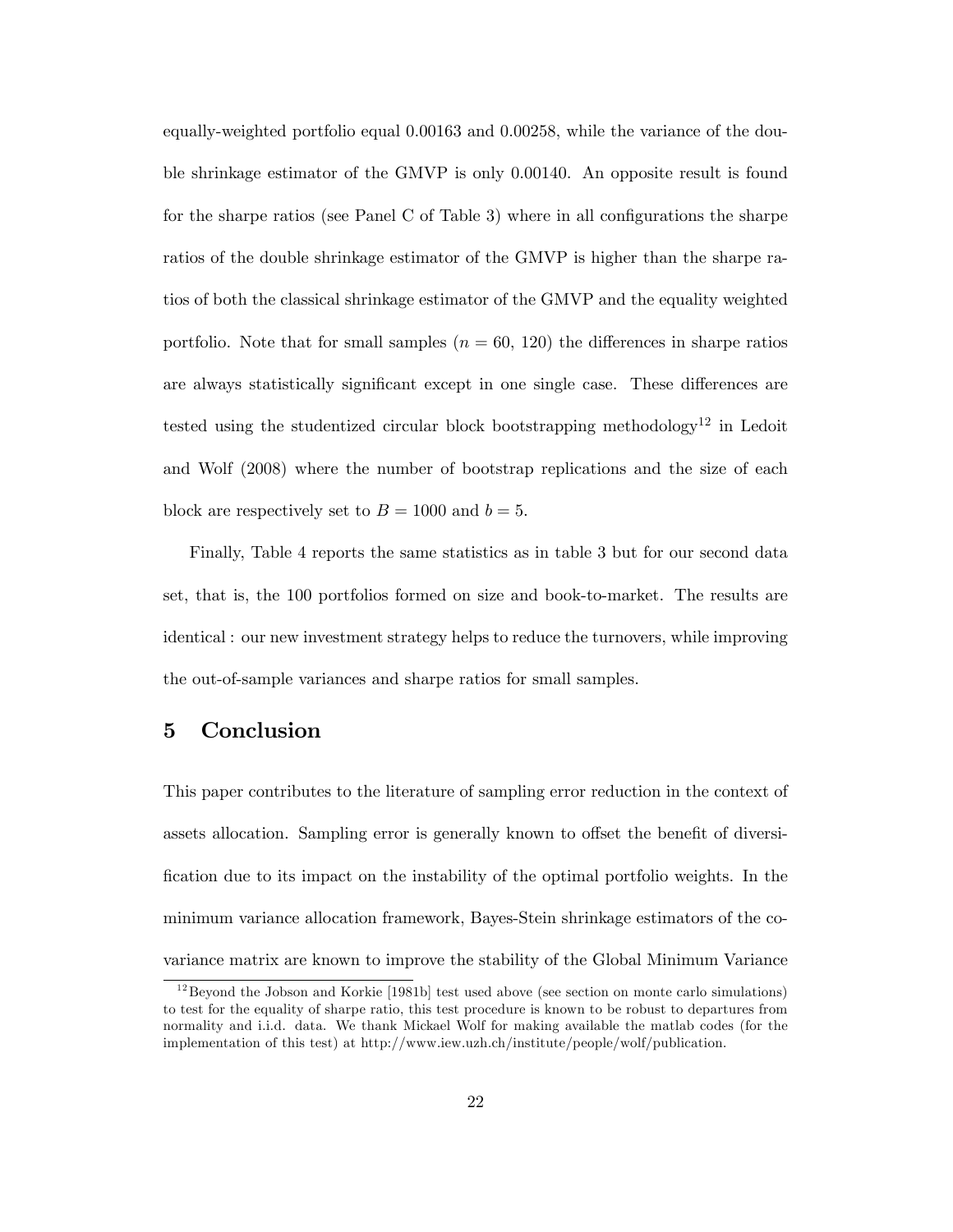equally-weighted portfolio equal 0:00163 and 0:00258, while the variance of the double shrinkage estimator of the GMVP is only 0:00140. An opposite result is found for the sharpe ratios (see Panel C of Table 3) where in all configurations the sharpe ratios of the double shrinkage estimator of the GMVP is higher than the sharpe ratios of both the classical shrinkage estimator of the GMVP and the equality weighted portfolio. Note that for small samples  $(n = 60, 120)$  the differences in sharpe ratios are always statistically significant except in one single case. These differences are tested using the studentized circular block bootstrapping methodology<sup>12</sup> in Ledoit and Wolf (2008) where the number of bootstrap replications and the size of each block are respectively set to  $B = 1000$  and  $b = 5$ .

Finally, Table 4 reports the same statistics as in table 3 but for our second data set, that is, the 100 portfolios formed on size and book-to-market. The results are identical : our new investment strategy helps to reduce the turnovers, while improving the out-of-sample variances and sharpe ratios for small samples.

## 5 Conclusion

This paper contributes to the literature of sampling error reduction in the context of assets allocation. Sampling error is generally known to offset the benefit of diversi-Öcation due to its impact on the instability of the optimal portfolio weights. In the minimum variance allocation framework, Bayes-Stein shrinkage estimators of the covariance matrix are known to improve the stability of the Global Minimum Variance

 $12$ Beyond the Jobson and Korkie [1981b] test used above (see section on monte carlo simulations) to test for the equality of sharpe ratio, this test procedure is known to be robust to departures from normality and i.i.d. data. We thank Mickael Wolf for making available the matlab codes (for the implementation of this test) at http://www.iew.uzh.ch/institute/people/wolf/publication.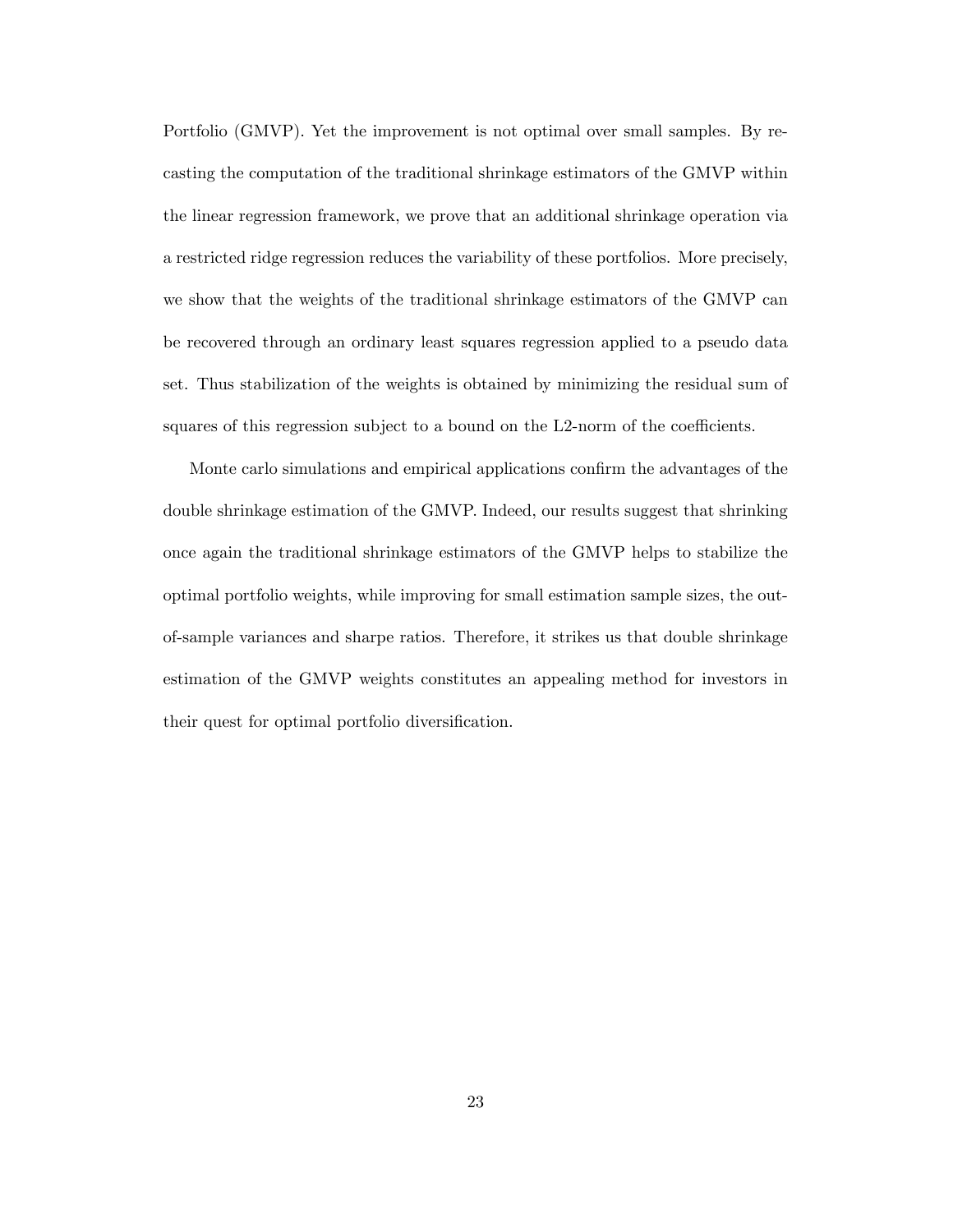Portfolio (GMVP). Yet the improvement is not optimal over small samples. By recasting the computation of the traditional shrinkage estimators of the GMVP within the linear regression framework, we prove that an additional shrinkage operation via a restricted ridge regression reduces the variability of these portfolios. More precisely, we show that the weights of the traditional shrinkage estimators of the GMVP can be recovered through an ordinary least squares regression applied to a pseudo data set. Thus stabilization of the weights is obtained by minimizing the residual sum of squares of this regression subject to a bound on the L2-norm of the coefficients.

Monte carlo simulations and empirical applications confirm the advantages of the double shrinkage estimation of the GMVP. Indeed, our results suggest that shrinking once again the traditional shrinkage estimators of the GMVP helps to stabilize the optimal portfolio weights, while improving for small estimation sample sizes, the outof-sample variances and sharpe ratios. Therefore, it strikes us that double shrinkage estimation of the GMVP weights constitutes an appealing method for investors in their quest for optimal portfolio diversification.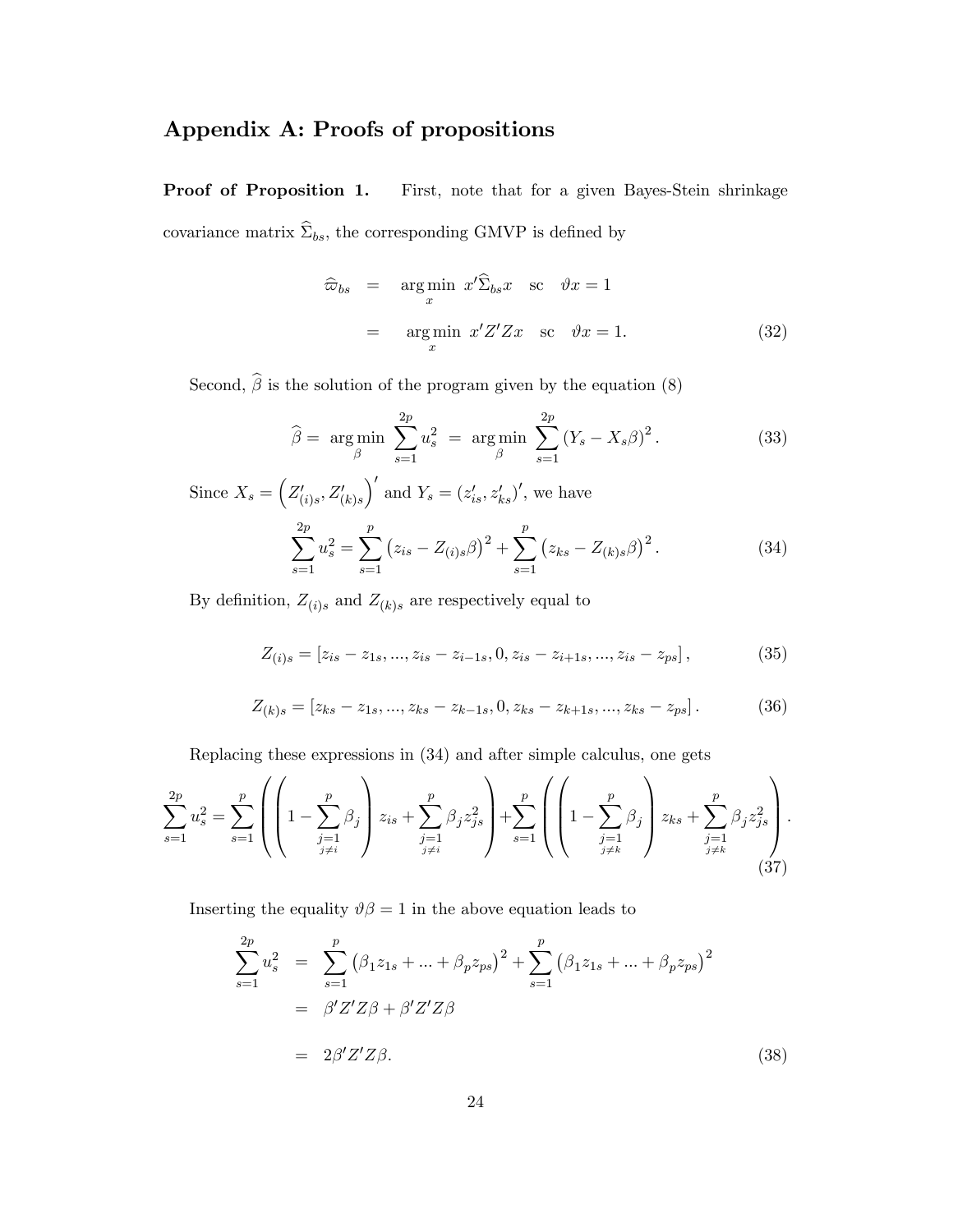## Appendix A: Proofs of propositions

Proof of Proposition 1. First, note that for a given Bayes-Stein shrinkage covariance matrix  $\widehat{\Sigma}_{bs},$  the corresponding GMVP is defined by

$$
\widehat{\omega}_{bs} = \underset{x}{\arg \min} \ x' \widehat{\Sigma}_{bs} x \quad \text{sc} \quad \vartheta x = 1
$$
\n
$$
= \underset{x}{\arg \min} \ x' Z' Z x \quad \text{sc} \quad \vartheta x = 1. \tag{32}
$$

Second,  $\widehat{\beta}$  is the solution of the program given by the equation (8)

$$
\hat{\beta} = \underset{\beta}{\arg \min} \sum_{s=1}^{2p} u_s^2 = \underset{\beta}{\arg \min} \sum_{s=1}^{2p} (Y_s - X_s \beta)^2.
$$
 (33)

Since  $X_s = \left(Z'_{(i)s}, Z'_{(k)s}\right)$  $\int'$  and  $Y_s = (z'_{is}, z'_{ks})'$ , we have

$$
\sum_{s=1}^{2p} u_s^2 = \sum_{s=1}^p (z_{is} - Z_{(i)s}\beta)^2 + \sum_{s=1}^p (z_{ks} - Z_{(k)s}\beta)^2.
$$
 (34)

By definition,  $Z_{(i)s}$  and  $Z_{(k)s}$  are respectively equal to

$$
Z_{(i)s} = [z_{is} - z_{1s}, \dots, z_{is} - z_{i-1s}, 0, z_{is} - z_{i+1s}, \dots, z_{is} - z_{ps}],
$$
\n(35)

$$
Z_{(k)s} = [z_{ks} - z_{1s}, \dots, z_{ks} - z_{k-1s}, 0, z_{ks} - z_{k+1s}, \dots, z_{ks} - z_{ps}].
$$
 (36)

Replacing these expressions in (34) and after simple calculus, one gets

$$
\sum_{s=1}^{2p} u_s^2 = \sum_{s=1}^p \left( \left( 1 - \sum_{\substack{j=1 \ j \neq i}}^p \beta_j \right) z_{is} + \sum_{\substack{j=1 \ j \neq i}}^p \beta_j z_{js}^2 \right) + \sum_{s=1}^p \left( \left( 1 - \sum_{\substack{j=1 \ j \neq k}}^p \beta_j \right) z_{ks} + \sum_{\substack{j=1 \ j \neq k}}^p \beta_j z_{js}^2 \right). \tag{37}
$$

Inserting the equality  $\vartheta \beta = 1$  in the above equation leads to

$$
\sum_{s=1}^{2p} u_s^2 = \sum_{s=1}^p (\beta_1 z_{1s} + ... + \beta_p z_{ps})^2 + \sum_{s=1}^p (\beta_1 z_{1s} + ... + \beta_p z_{ps})^2
$$
  
=  $\beta' Z' Z \beta + \beta' Z' Z \beta$   
=  $2\beta' Z' Z \beta$ . (38)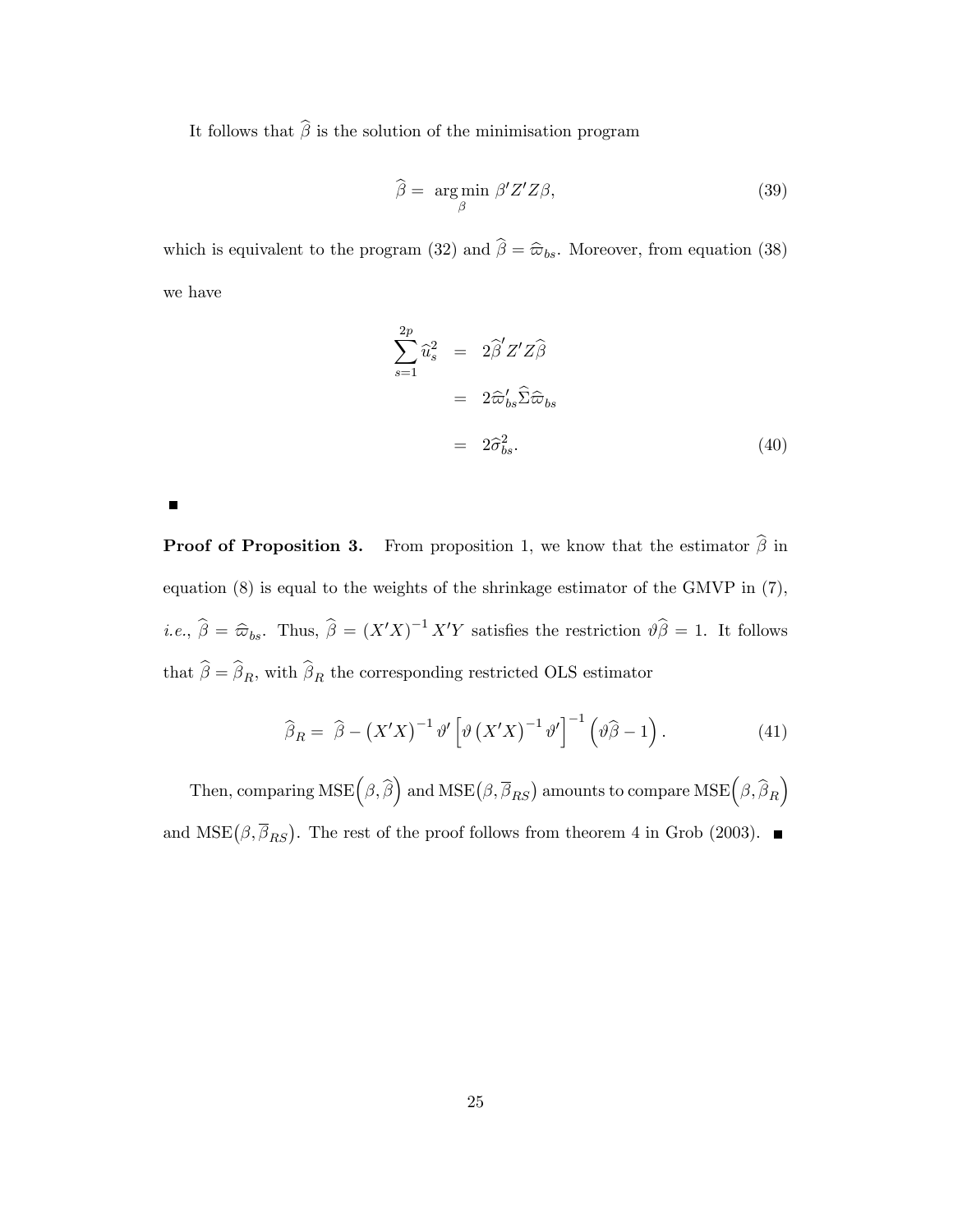It follows that  $\widehat{\boldsymbol{\beta}}$  is the solution of the minimisation program

$$
\widehat{\beta} = \underset{\beta}{\arg\min} \ \beta' Z' Z \beta, \tag{39}
$$

which is equivalent to the program (32) and  $\hat{\beta} = \hat{\varpi}_{bs}$ . Moreover, from equation (38) we have

$$
\sum_{s=1}^{2p} \widehat{u}_s^2 = 2\widehat{\beta}' Z' Z \widehat{\beta}
$$
  
=  $2\widehat{\omega}_{bs}' \widehat{\Sigma} \widehat{\omega}_{bs}$   
=  $2\widehat{\sigma}_{bs}^2$ . (40)

**Proof of Proposition 3.** From proposition 1, we know that the estimator  $\hat{\beta}$  in equation (8) is equal to the weights of the shrinkage estimator of the GMVP in (7), *i.e.*,  $\hat{\beta} = \hat{\varpi}_{bs}$ . Thus,  $\hat{\beta} = (X'X)^{-1}X'Y$  satisfies the restriction  $\vartheta \hat{\beta} = 1$ . It follows that  $\beta = \beta_R$ , with  $\beta_R$  the corresponding restricted OLS estimator

$$
\widehat{\beta}_R = \widehat{\beta} - \left(X'X\right)^{-1} \vartheta' \left[\vartheta \left(X'X\right)^{-1} \vartheta'\right]^{-1} \left(\vartheta \widehat{\beta} - 1\right). \tag{41}
$$

Then, comparing  $\text{MSE} \Big(\beta,\widehat{\beta} \Big)$  and  $\text{MSE} \big(\beta,\overline{\beta}_{RS} \big)$  amounts to compare  $\text{MSE} \Big(\beta,\widehat{\beta}_R \Big)$ and  $MSE(\beta, \overline{\beta}_{RS})$ . The rest of the proof follows from theorem 4 in Grob (2003).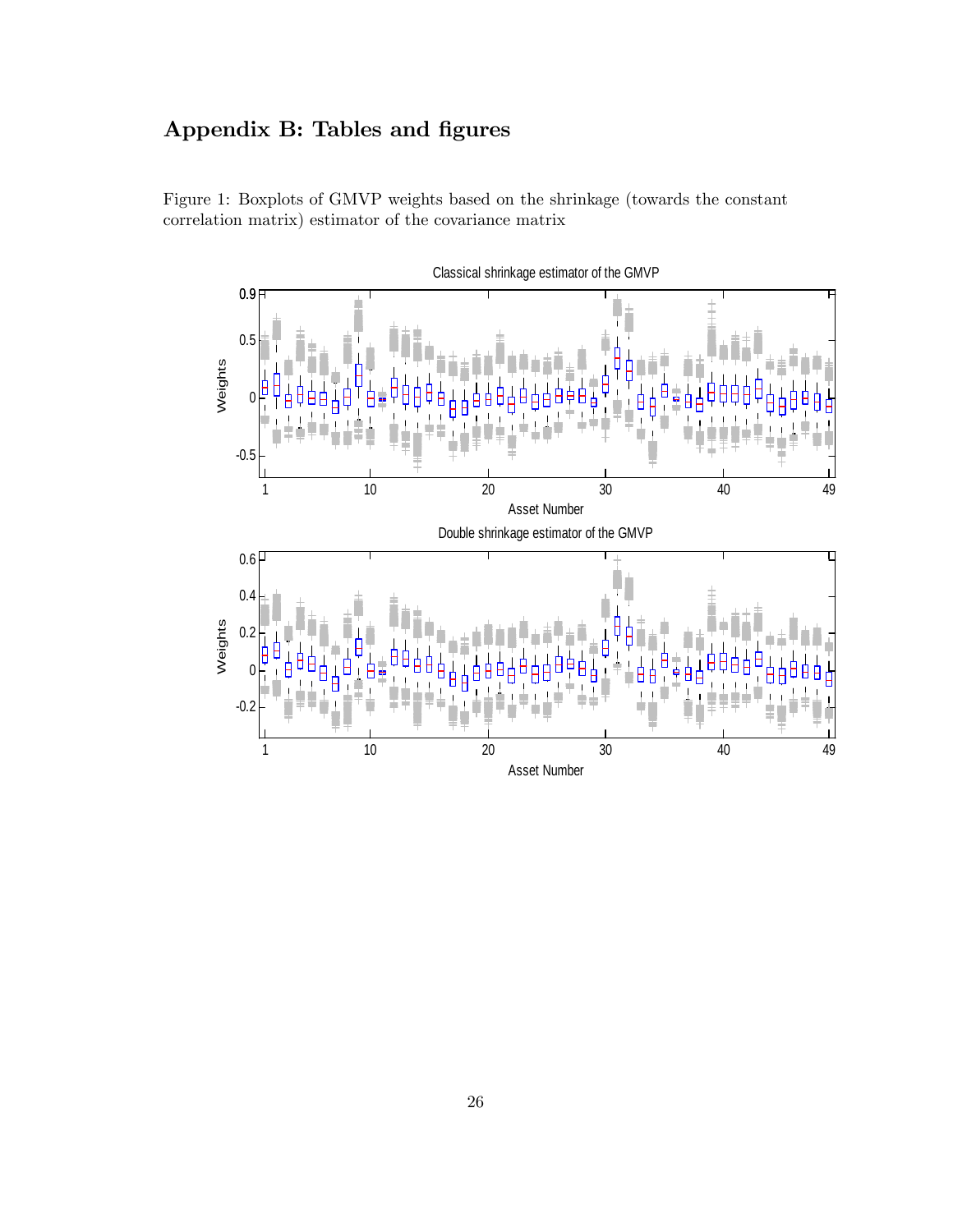## Appendix B: Tables and figures



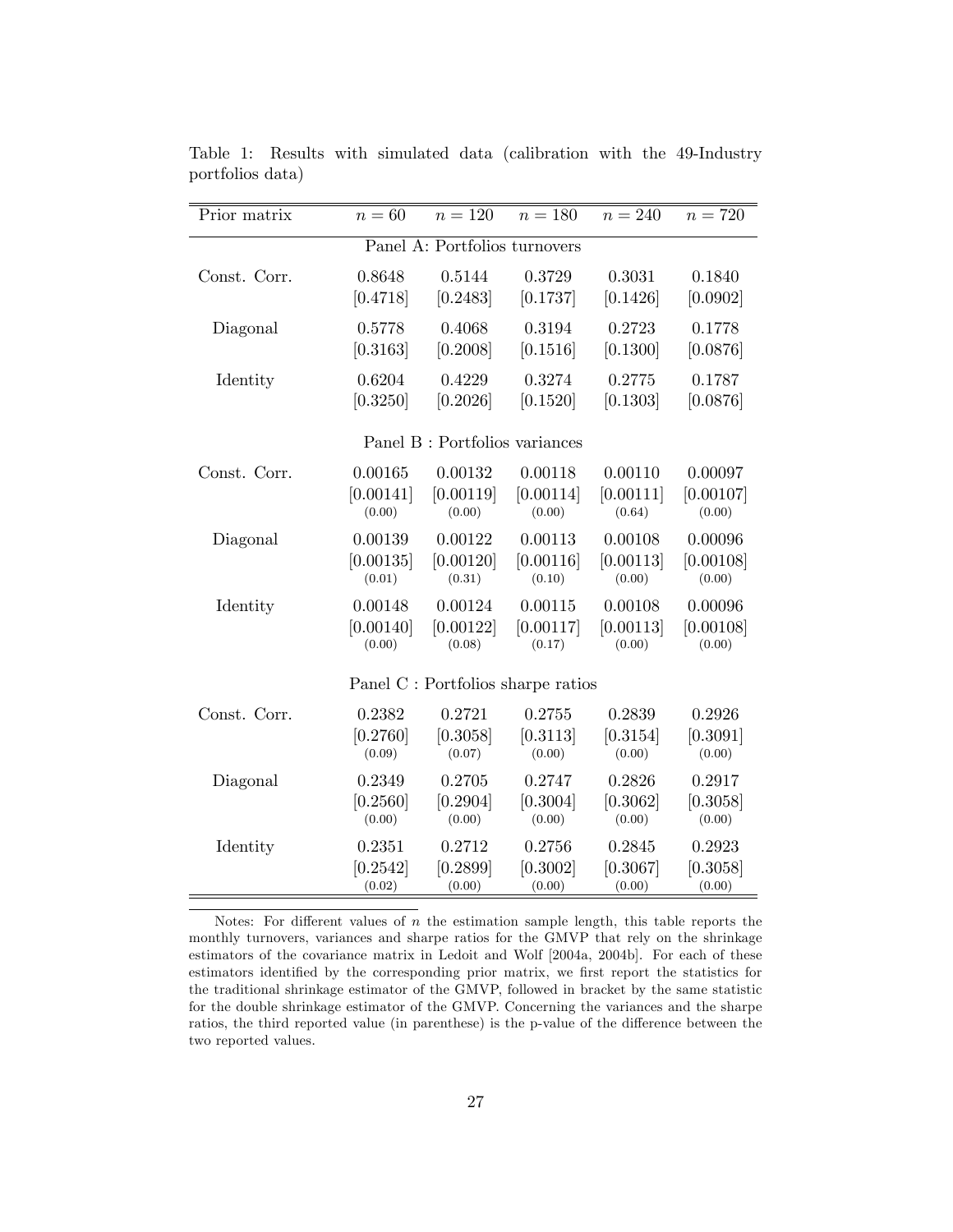| Prior matrix                       | $n=60$    | $n = 120$ | $n = 180$ | $n = 240$ | $n = 720$ |
|------------------------------------|-----------|-----------|-----------|-----------|-----------|
| Panel A: Portfolios turnovers      |           |           |           |           |           |
| Const. Corr.                       | 0.8648    | 0.5144    | 0.3729    | 0.3031    | 0.1840    |
|                                    | [0.4718]  | [0.2483]  | [0.1737]  | [0.1426]  | [0.0902]  |
| Diagonal                           | 0.5778    | 0.4068    | 0.3194    | 0.2723    | 0.1778    |
|                                    | [0.3163]  | [0.2008]  | [0.1516]  | [0.1300]  | [0.0876]  |
| Identity                           | 0.6204    | 0.4229    | 0.3274    | 0.2775    | 0.1787    |
|                                    | [0.3250]  | [0.2026]  | [0.1520]  | [0.1303]  | [0.0876]  |
| Panel B : Portfolios variances     |           |           |           |           |           |
| Const. Corr.                       | 0.00165   | 0.00132   | 0.00118   | 0.00110   | 0.00097   |
|                                    | [0.00141] | [0.00119] | [0.00114] | [0.00111] | [0.00107] |
|                                    | (0.00)    | (0.00)    | (0.00)    | (0.64)    | (0.00)    |
| Diagonal                           | 0.00139   | 0.00122   | 0.00113   | 0.00108   | 0.00096   |
|                                    | [0.00135] | [0.00120] | [0.00116] | [0.00113] | [0.00108] |
|                                    | (0.01)    | (0.31)    | (0.10)    | (0.00)    | (0.00)    |
| Identity                           | 0.00148   | 0.00124   | 0.00115   | 0.00108   | 0.00096   |
|                                    | [0.00140] | [0.00122] | [0.00117] | [0.00113] | [0.00108] |
|                                    | (0.00)    | (0.08)    | (0.17)    | (0.00)    | (0.00)    |
| Panel C : Portfolios sharpe ratios |           |           |           |           |           |
| Const. Corr.                       | 0.2382    | 0.2721    | 0.2755    | 0.2839    | 0.2926    |
|                                    | [0.2760]  | [0.3058]  | [0.3113]  | [0.3154]  | [0.3091]  |
|                                    | (0.09)    | (0.07)    | (0.00)    | (0.00)    | (0.00)    |
| Diagonal                           | 0.2349    | 0.2705    | 0.2747    | 0.2826    | 0.2917    |
|                                    | [0.2560]  | [0.2904]  | [0.3004]  | [0.3062]  | [0.3058]  |
|                                    | (0.00)    | (0.00)    | (0.00)    | (0.00)    | (0.00)    |
| Identity                           | 0.2351    | 0.2712    | 0.2756    | 0.2845    | 0.2923    |
|                                    | [0.2542]  | [0.2899]  | [0.3002]  | [0.3067]  | [0.3058]  |
|                                    | (0.02)    | (0.00)    | (0.00)    | (0.00)    | (0.00)    |

Table 1: Results with simulated data (calibration with the 49-Industry portfolios data)

Notes: For different values of  $n$  the estimation sample length, this table reports the monthly turnovers, variances and sharpe ratios for the GMVP that rely on the shrinkage estimators of the covariance matrix in Ledoit and Wolf [2004a, 2004b]. For each of these estimators identified by the corresponding prior matrix, we first report the statistics for the traditional shrinkage estimator of the GMVP, followed in bracket by the same statistic for the double shrinkage estimator of the GMVP. Concerning the variances and the sharpe ratios, the third reported value (in parenthese) is the p-value of the difference between the two reported values.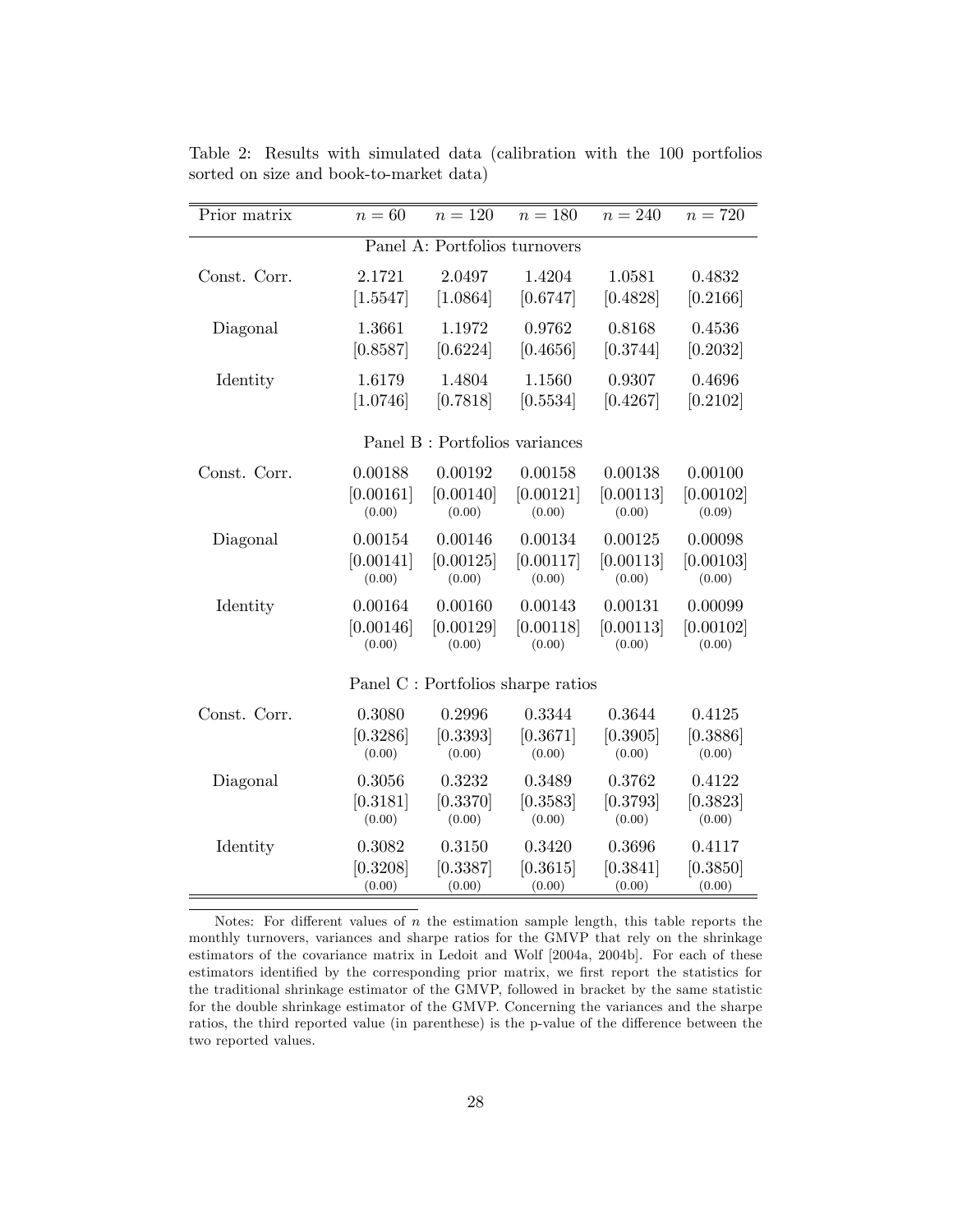| Prior matrix                       | $n=60$     | $n = 120$ | $n=180$   | $n = 240$ | $n=720$   |
|------------------------------------|------------|-----------|-----------|-----------|-----------|
| Panel A: Portfolios turnovers      |            |           |           |           |           |
| Const. Corr.                       | 2.1721     | 2.0497    | 1.4204    | 1.0581    | 0.4832    |
|                                    | $[1.5547]$ | [1.0864]  | [0.6747]  | [0.4828]  | [0.2166]  |
| Diagonal                           | 1.3661     | 1.1972    | 0.9762    | 0.8168    | 0.4536    |
|                                    | [0.8587]   | [0.6224]  | [0.4656]  | [0.3744]  | [0.2032]  |
| Identity                           | 1.6179     | 1.4804    | 1.1560    | 0.9307    | 0.4696    |
|                                    | [1.0746]   | [0.7818]  | [0.5534]  | [0.4267]  | [0.2102]  |
| Panel B : Portfolios variances     |            |           |           |           |           |
| Const. Corr.                       | 0.00188    | 0.00192   | 0.00158   | 0.00138   | 0.00100   |
|                                    | [0.00161]  | [0.00140] | [0.00121] | [0.00113] | [0.00102] |
|                                    | (0.00)     | (0.00)    | (0.00)    | (0.00)    | (0.09)    |
| Diagonal                           | 0.00154    | 0.00146   | 0.00134   | 0.00125   | 0.00098   |
|                                    | [0.00141]  | [0.00125] | [0.00117] | [0.00113] | [0.00103] |
|                                    | (0.00)     | (0.00)    | (0.00)    | (0.00)    | (0.00)    |
| Identity                           | 0.00164    | 0.00160   | 0.00143   | 0.00131   | 0.00099   |
|                                    | [0.00146]  | [0.00129] | [0.00118] | [0.00113] | [0.00102] |
|                                    | (0.00)     | (0.00)    | (0.00)    | (0.00)    | (0.00)    |
| Panel C : Portfolios sharpe ratios |            |           |           |           |           |
| Const. Corr.                       | 0.3080     | 0.2996    | 0.3344    | 0.3644    | 0.4125    |
|                                    | [0.3286]   | [0.3393]  | [0.3671]  | [0.3905]  | [0.3886]  |
|                                    | (0.00)     | (0.00)    | (0.00)    | (0.00)    | (0.00)    |
| Diagonal                           | 0.3056     | 0.3232    | 0.3489    | 0.3762    | 0.4122    |
|                                    | [0.3181]   | [0.3370]  | [0.3583]  | [0.3793]  | [0.3823]  |
|                                    | (0.00)     | (0.00)    | (0.00)    | (0.00)    | (0.00)    |
| Identity                           | 0.3082     | 0.3150    | 0.3420    | 0.3696    | 0.4117    |
|                                    | [0.3208]   | [0.3387]  | [0.3615]  | [0.3841]  | [0.3850]  |
|                                    | (0.00)     | (0.00)    | (0.00)    | (0.00)    | (0.00)    |

Table 2: Results with simulated data (calibration with the 100 portfolios sorted on size and book-to-market data)

Notes: For different values of  $n$  the estimation sample length, this table reports the monthly turnovers, variances and sharpe ratios for the GMVP that rely on the shrinkage estimators of the covariance matrix in Ledoit and Wolf [2004a, 2004b]. For each of these estimators identified by the corresponding prior matrix, we first report the statistics for the traditional shrinkage estimator of the GMVP, followed in bracket by the same statistic for the double shrinkage estimator of the GMVP. Concerning the variances and the sharpe ratios, the third reported value (in parenthese) is the p-value of the difference between the two reported values.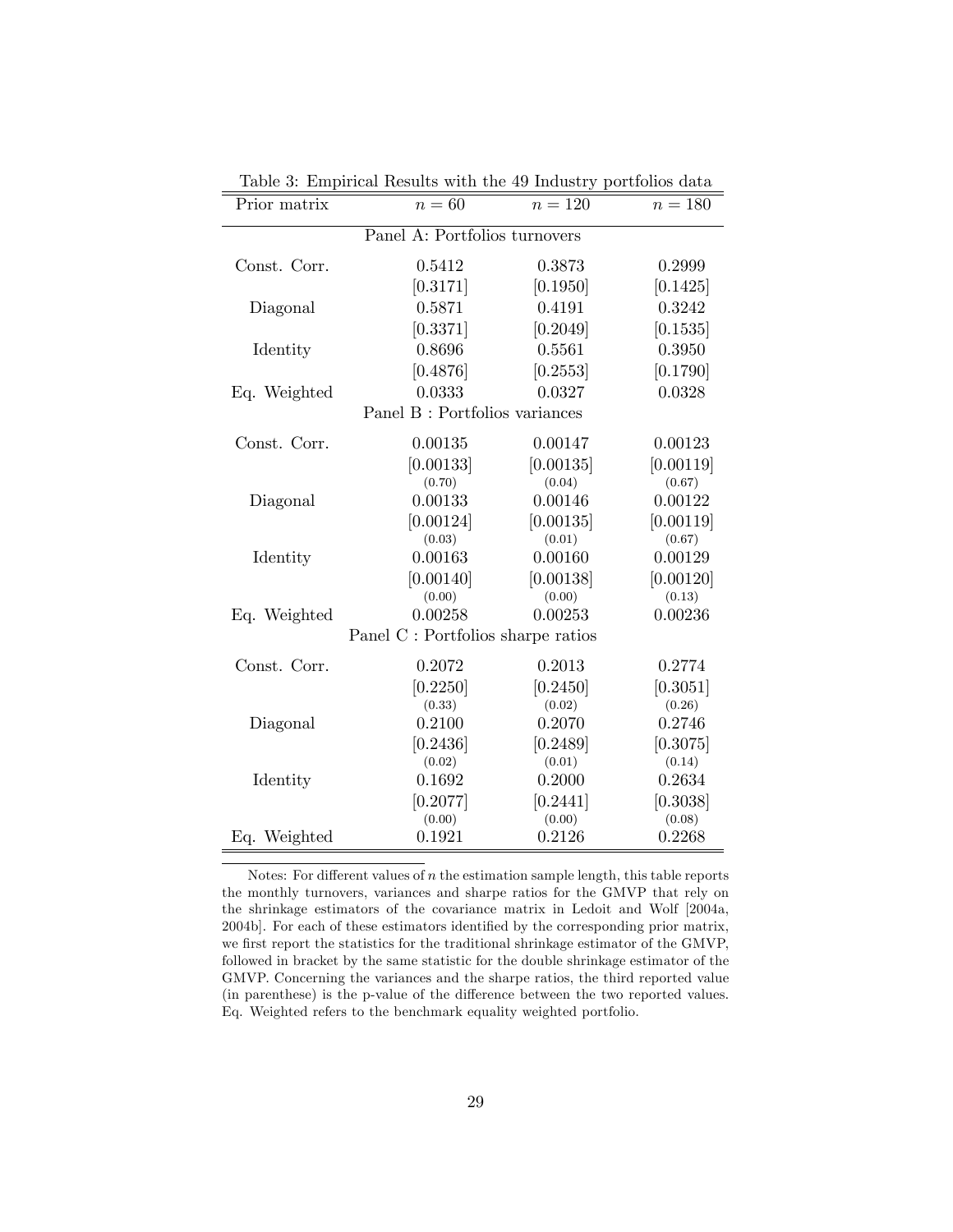| $n=60$                                         | $n=120$                                       | $n=180$                                       |  |  |  |
|------------------------------------------------|-----------------------------------------------|-----------------------------------------------|--|--|--|
| Panel A: Portfolios turnovers                  |                                               |                                               |  |  |  |
| 0.5412                                         | 0.3873                                        | 0.2999                                        |  |  |  |
|                                                | [0.1950]                                      | [0.1425]                                      |  |  |  |
| 0.5871                                         | 0.4191                                        | 0.3242                                        |  |  |  |
| [0.3371]                                       | [0.2049]                                      | [0.1535]                                      |  |  |  |
| 0.8696                                         | 0.5561                                        | 0.3950                                        |  |  |  |
| [0.4876]                                       |                                               | [0.1790]                                      |  |  |  |
| 0.0333                                         | 0.0327                                        | 0.0328                                        |  |  |  |
| Eq. Weighted<br>Panel B : Portfolios variances |                                               |                                               |  |  |  |
|                                                |                                               | 0.00123                                       |  |  |  |
|                                                |                                               | [0.00119]                                     |  |  |  |
| (0.70)                                         | (0.04)                                        | (0.67)                                        |  |  |  |
| 0.00133                                        | 0.00146                                       | 0.00122                                       |  |  |  |
|                                                |                                               | [0.00119]                                     |  |  |  |
| (0.03)                                         | (0.01)                                        | (0.67)                                        |  |  |  |
| 0.00163                                        | 0.00160                                       | 0.00129                                       |  |  |  |
| [0.00140]                                      | [0.00138]                                     | [0.00120]                                     |  |  |  |
| (0.00)                                         | (0.00)                                        | (0.13)                                        |  |  |  |
| 0.00258                                        | 0.00253                                       | 0.00236                                       |  |  |  |
| Panel C : Portfolios sharpe ratios             |                                               |                                               |  |  |  |
| 0.2072                                         | 0.2013                                        | 0.2774                                        |  |  |  |
| [0.2250]                                       | [0.2450]                                      | [0.3051]                                      |  |  |  |
| (0.33)                                         | (0.02)                                        | (0.26)                                        |  |  |  |
| 0.2100                                         | 0.2070                                        | 0.2746                                        |  |  |  |
| [0.2436]                                       | [0.2489]                                      | [0.3075]                                      |  |  |  |
| (0.02)                                         | (0.01)                                        | (0.14)                                        |  |  |  |
| 0.1692                                         | 0.2000                                        | 0.2634                                        |  |  |  |
| [0.2077]                                       | [0.2441]                                      | [0.3038]                                      |  |  |  |
| (0.00)                                         | (0.00)                                        | (0.08)                                        |  |  |  |
| 0.1921                                         | 0.2126                                        | 0.2268                                        |  |  |  |
|                                                | [0.3171]<br>0.00135<br>[0.00133]<br>[0.00124] | [0.2553]<br>0.00147<br>[0.00135]<br>[0.00135] |  |  |  |

Table 3: Empirical Results with the 49 Industry portfolios data

Notes: For different values of  $n$  the estimation sample length, this table reports the monthly turnovers, variances and sharpe ratios for the GMVP that rely on the shrinkage estimators of the covariance matrix in Ledoit and Wolf [2004a, 2004b]. For each of these estimators identified by the corresponding prior matrix, we first report the statistics for the traditional shrinkage estimator of the GMVP, followed in bracket by the same statistic for the double shrinkage estimator of the GMVP. Concerning the variances and the sharpe ratios, the third reported value (in parenthese) is the p-value of the difference between the two reported values. Eq. Weighted refers to the benchmark equality weighted portfolio.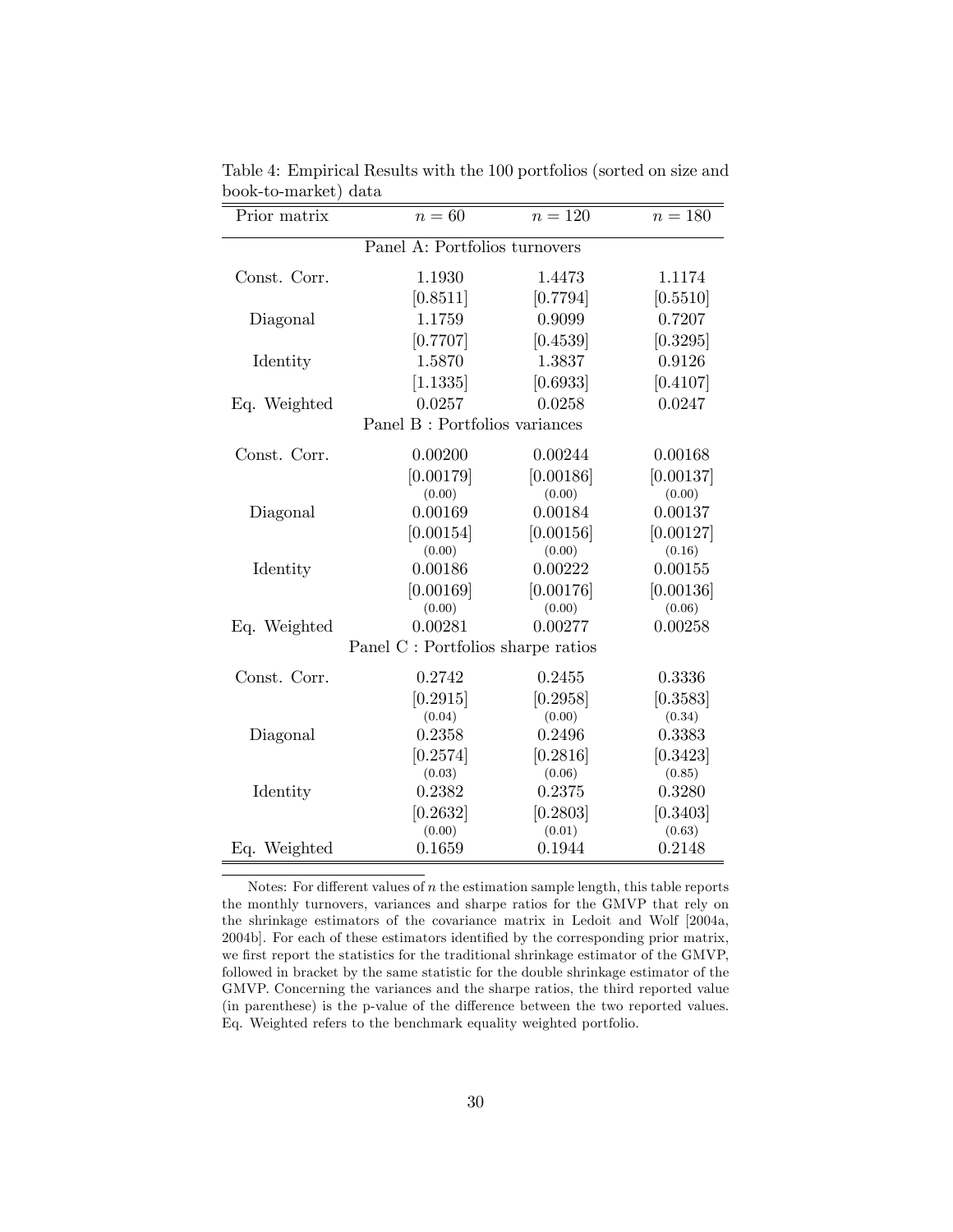| Prior matrix                   | $n=60$                             | $n = 120$ | $n=180$   |  |  |
|--------------------------------|------------------------------------|-----------|-----------|--|--|
| Panel A: Portfolios turnovers  |                                    |           |           |  |  |
| Const. Corr.                   | 1.1930                             | 1.4473    | 1.1174    |  |  |
|                                | [0.8511]                           | [0.7794]  | [0.5510]  |  |  |
| Diagonal                       | 1.1759                             | 0.9099    | 0.7207    |  |  |
|                                | [0.7707]                           | [0.4539]  | [0.3295]  |  |  |
| Identity                       | 1.5870                             | 1.3837    | 0.9126    |  |  |
|                                | [1.1335]                           | [0.6933]  | [0.4107]  |  |  |
| Eq. Weighted                   | 0.0257                             | 0.0258    | 0.0247    |  |  |
| Panel B : Portfolios variances |                                    |           |           |  |  |
| Const. Corr.                   | 0.00200                            | 0.00244   | 0.00168   |  |  |
|                                | [0.00179]                          | [0.00186] | [0.00137] |  |  |
|                                | (0.00)                             | (0.00)    | (0.00)    |  |  |
| Diagonal                       | 0.00169                            | 0.00184   | 0.00137   |  |  |
|                                | [0.00154]                          | [0.00156] | [0.00127] |  |  |
|                                | (0.00)                             | (0.00)    | (0.16)    |  |  |
| Identity                       | 0.00186                            | 0.00222   | 0.00155   |  |  |
|                                | [0.00169]                          | [0.00176] | [0.00136] |  |  |
|                                | (0.00)                             | (0.00)    | (0.06)    |  |  |
| Eq. Weighted                   | 0.00281                            | 0.00277   | 0.00258   |  |  |
|                                | Panel C : Portfolios sharpe ratios |           |           |  |  |
| Const. Corr.                   | 0.2742                             | 0.2455    | 0.3336    |  |  |
|                                | [0.2915]                           | [0.2958]  | [0.3583]  |  |  |
|                                | (0.04)                             | (0.00)    | (0.34)    |  |  |
| Diagonal                       | 0.2358                             | 0.2496    | 0.3383    |  |  |
|                                | [0.2574]                           | [0.2816]  | [0.3423]  |  |  |
|                                | (0.03)                             | (0.06)    | (0.85)    |  |  |
| Identity                       | 0.2382                             | 0.2375    | 0.3280    |  |  |
|                                | [0.2632]                           | [0.2803]  | [0.3403]  |  |  |
|                                | (0.00)                             | (0.01)    | (0.63)    |  |  |
| Eq. Weighted                   | 0.1659                             | 0.1944    | 0.2148    |  |  |

Table 4: Empirical Results with the 100 portfolios (sorted on size and book-to-market) data

Notes: For different values of  $n$  the estimation sample length, this table reports the monthly turnovers, variances and sharpe ratios for the GMVP that rely on the shrinkage estimators of the covariance matrix in Ledoit and Wolf [2004a, 2004b]. For each of these estimators identified by the corresponding prior matrix, we first report the statistics for the traditional shrinkage estimator of the GMVP, followed in bracket by the same statistic for the double shrinkage estimator of the GMVP. Concerning the variances and the sharpe ratios, the third reported value (in parenthese) is the p-value of the difference between the two reported values. Eq. Weighted refers to the benchmark equality weighted portfolio.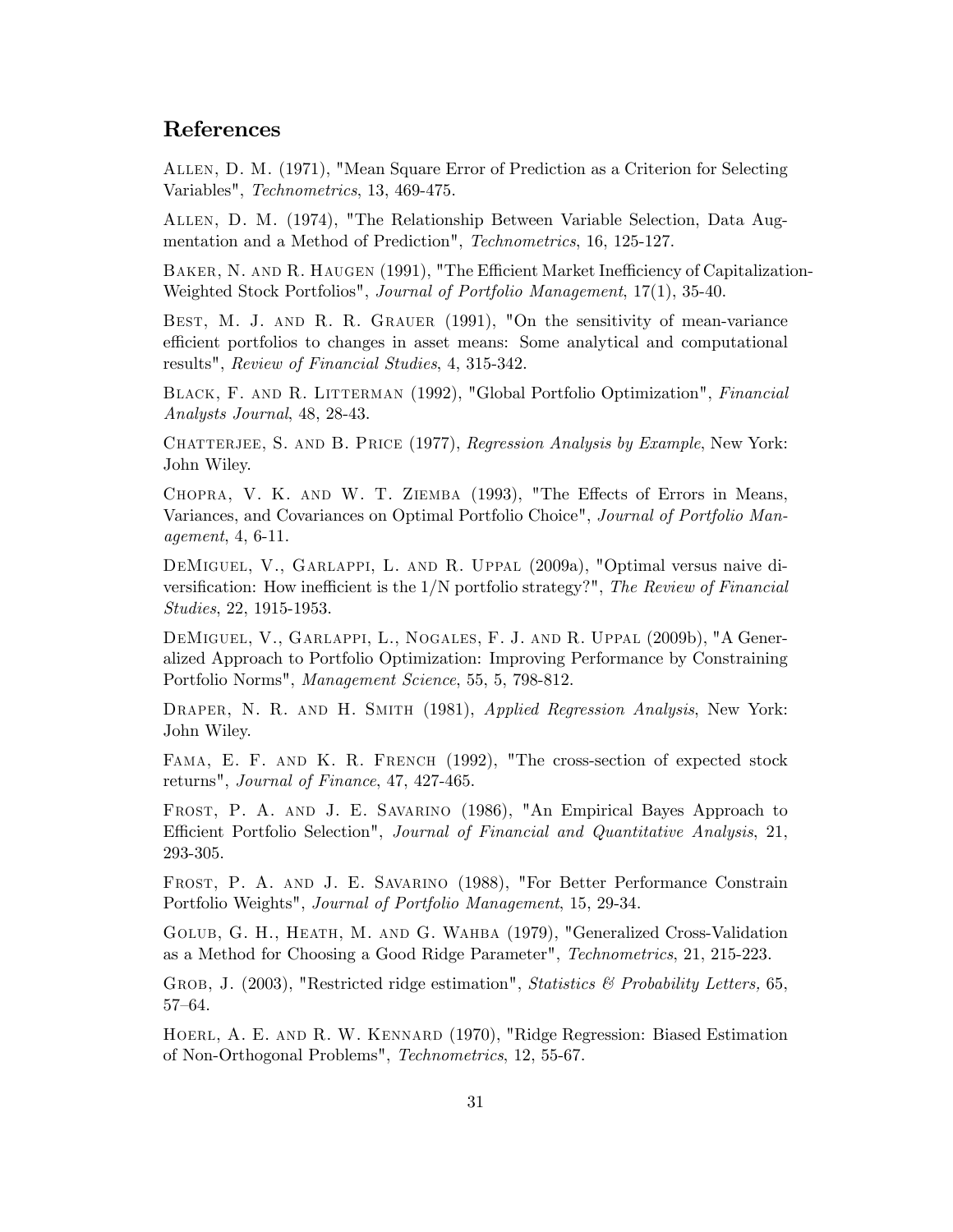## References

Allen, D. M. (1971), "Mean Square Error of Prediction as a Criterion for Selecting Variables", Technometrics, 13, 469-475.

Allen, D. M. (1974), "The Relationship Between Variable Selection, Data Augmentation and a Method of Prediction", Technometrics, 16, 125-127.

BAKER, N. AND R. HAUGEN (1991), "The Efficient Market Inefficiency of Capitalization-Weighted Stock Portfolios", Journal of Portfolio Management, 17(1), 35-40.

BEST, M. J. AND R. R. GRAUER (1991), "On the sensitivity of mean-variance efficient portfolios to changes in asset means: Some analytical and computational results", Review of Financial Studies, 4, 315-342.

Black, F. and R. Litterman (1992), "Global Portfolio Optimization", Financial Analysts Journal, 48, 28-43.

CHATTERJEE, S. AND B. PRICE (1977), Regression Analysis by Example, New York: John Wiley.

CHOPRA, V. K. AND W. T. ZIEMBA (1993), "The Effects of Errors in Means, Variances, and Covariances on Optimal Portfolio Choice", Journal of Portfolio Management, 4, 6-11.

DeMiguel, V., Garlappi, L. and R. Uppal (2009a), "Optimal versus naive diversification: How inefficient is the  $1/N$  portfolio strategy?", The Review of Financial Studies, 22, 1915-1953.

DeMiguel, V., Garlappi, L., Nogales, F. J. and R. Uppal (2009b), "A Generalized Approach to Portfolio Optimization: Improving Performance by Constraining Portfolio Norms", Management Science, 55, 5, 798-812.

DRAPER, N. R. AND H. SMITH (1981), Applied Regression Analysis, New York: John Wiley.

FAMA, E. F. AND K. R. FRENCH (1992), "The cross-section of expected stock returns", Journal of Finance, 47, 427-465.

Frost, P. A. and J. E. Savarino (1986), "An Empirical Bayes Approach to Efficient Portfolio Selection", Journal of Financial and Quantitative Analysis, 21, 293-305.

Frost, P. A. and J. E. Savarino (1988), "For Better Performance Constrain Portfolio Weights", Journal of Portfolio Management, 15, 29-34.

Golub, G. H., Heath, M. and G. Wahba (1979), "Generalized Cross-Validation as a Method for Choosing a Good Ridge Parameter", Technometrics, 21, 215-223.

GROB, J. (2003), "Restricted ridge estimation", *Statistics & Probability Letters*, 65, 57-64.

Hoerl, A. E. and R. W. Kennard (1970), "Ridge Regression: Biased Estimation of Non-Orthogonal Problems", Technometrics, 12, 55-67.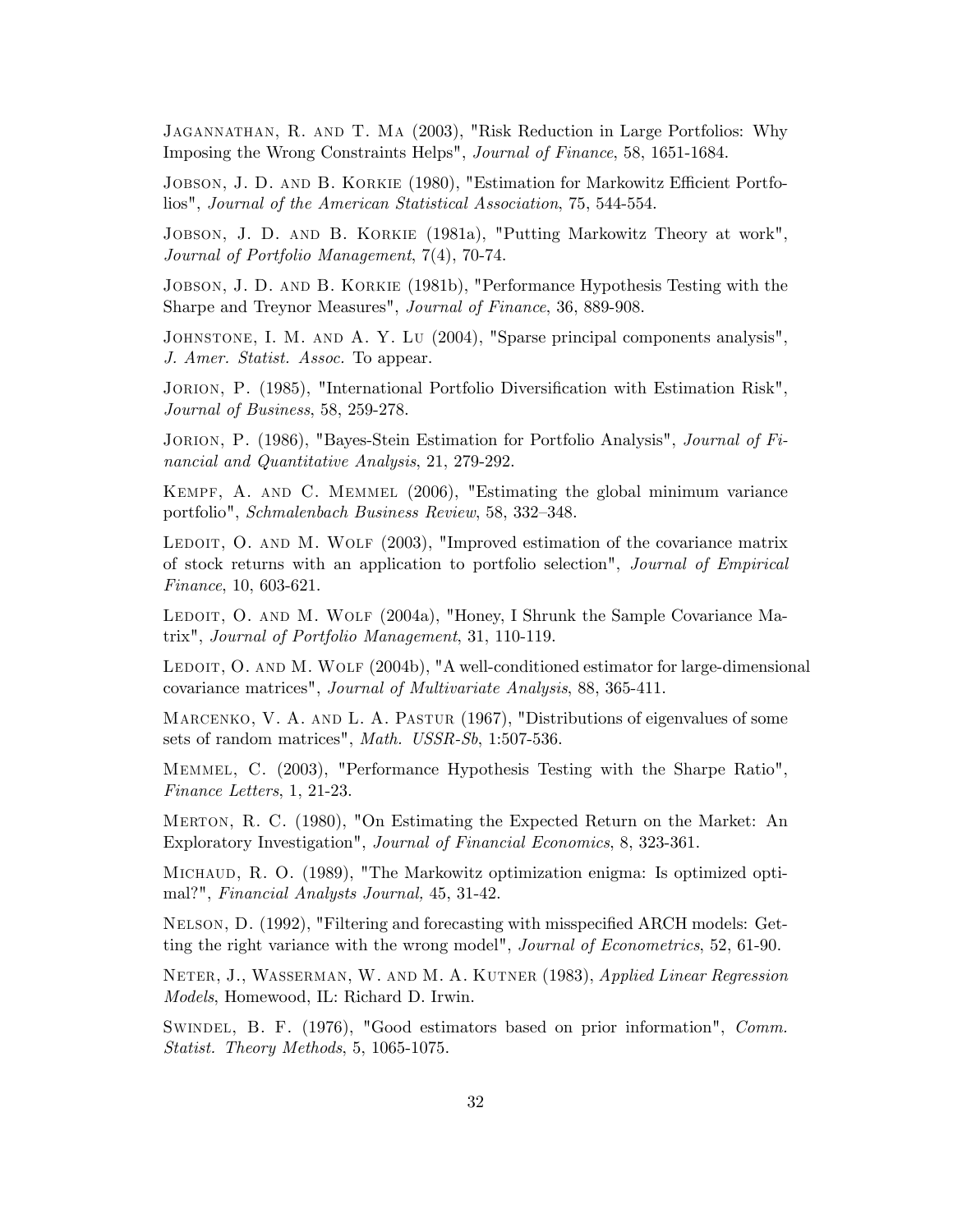Jagannathan, R. and T. Ma (2003), "Risk Reduction in Large Portfolios: Why Imposing the Wrong Constraints Helps", Journal of Finance, 58, 1651-1684.

JOBSON, J. D. AND B. KORKIE (1980), "Estimation for Markowitz Efficient Portfolios", Journal of the American Statistical Association, 75, 544-554.

Jobson, J. D. and B. Korkie (1981a), "Putting Markowitz Theory at work", Journal of Portfolio Management, 7(4), 70-74.

Jobson, J. D. and B. Korkie (1981b), "Performance Hypothesis Testing with the Sharpe and Treynor Measures", Journal of Finance, 36, 889-908.

Johnstone, I. M. and A. Y. Lu (2004), "Sparse principal components analysis", J. Amer. Statist. Assoc. To appear.

JORION, P. (1985), "International Portfolio Diversification with Estimation Risk", Journal of Business, 58, 259-278.

JORION, P. (1986), "Bayes-Stein Estimation for Portfolio Analysis", *Journal of Fi*nancial and Quantitative Analysis, 21, 279-292.

Kempf, A. and C. Memmel (2006), "Estimating the global minimum variance portfolio", Schmalenbach Business Review, 58, 332–348.

LEDOIT, O. AND M. WOLF  $(2003)$ , "Improved estimation of the covariance matrix of stock returns with an application to portfolio selection", Journal of Empirical Finance, 10, 603-621.

LEDOIT, O. AND M. WOLF (2004a), "Honey, I Shrunk the Sample Covariance Matrix", Journal of Portfolio Management, 31, 110-119.

LEDOIT, O. AND M. WOLF (2004b), "A well-conditioned estimator for large-dimensional covariance matrices", Journal of Multivariate Analysis, 88, 365-411.

MARCENKO, V. A. AND L. A. PASTUR (1967), "Distributions of eigenvalues of some sets of random matrices", Math. USSR-Sb, 1:507-536.

Memmel, C. (2003), "Performance Hypothesis Testing with the Sharpe Ratio", Finance Letters, 1, 21-23.

Merton, R. C. (1980), "On Estimating the Expected Return on the Market: An Exploratory Investigation", Journal of Financial Economics, 8, 323-361.

Michaud, R. O. (1989), "The Markowitz optimization enigma: Is optimized optimal?", Financial Analysts Journal, 45, 31-42.

NELSON, D. (1992), "Filtering and forecasting with misspecified ARCH models: Getting the right variance with the wrong model", Journal of Econometrics, 52, 61-90.

NETER, J., WASSERMAN, W. AND M. A. KUTNER (1983), Applied Linear Regression Models, Homewood, IL: Richard D. Irwin.

Swindel, B. F. (1976), "Good estimators based on prior information", Comm. Statist. Theory Methods, 5, 1065-1075.